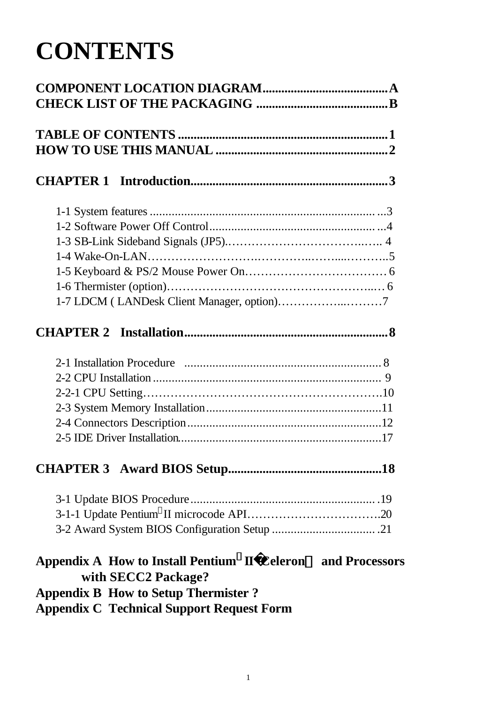# **CONTENTS**

| Appendix A How to Install Pentium <sup>a</sup> II Celeron <sup>o</sup> and Processors<br>with SECC2 Package?<br><b>Appendix B How to Setup Thermister?</b> |  |  |
|------------------------------------------------------------------------------------------------------------------------------------------------------------|--|--|
| <b>Appendix C Technical Support Request Form</b>                                                                                                           |  |  |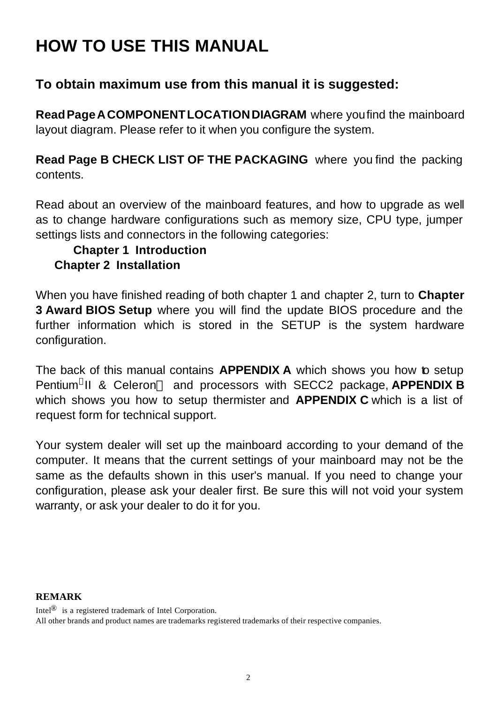## **HOW TO USE THIS MANUAL**

### **To obtain maximum use from this manual it is suggested:**

**Read Page A COMPONENT LOCATION DIAGRAM** where youfind the mainboard layout diagram. Please refer to it when you configure the system.

**Read Page B CHECK LIST OF THE PACKAGING** where you find the packing contents.

Read about an overview of the mainboard features, and how to upgrade as well as to change hardware configurations such as memory size, CPU type, jumper settings lists and connectors in the following categories:

### **Chapter 1 Introduction Chapter 2 Installation**

When you have finished reading of both chapter 1 and chapter 2, turn to **Chapter 3 Award BIOS Setup** where you will find the update BIOS procedure and the further information which is stored in the SETUP is the system hardware configuration.

The back of this manual contains **APPENDIX A** which shows you how to setup Pentium<sup>®</sup>II & Celeron<sup>™</sup> and processors with SECC2 package, APPENDIX B which shows you how to setup thermister and **APPENDIX C** which is a list of request form for technical support.

Your system dealer will set up the mainboard according to your demand of the computer. It means that the current settings of your mainboard may not be the same as the defaults shown in this user's manual. If you need to change your configuration, please ask your dealer first. Be sure this will not void your system warranty, or ask your dealer to do it for you.

#### **REMARK**

Intel® is a registered trademark of Intel Corporation.

All other brands and product names are trademarks registered trademarks of their respective companies.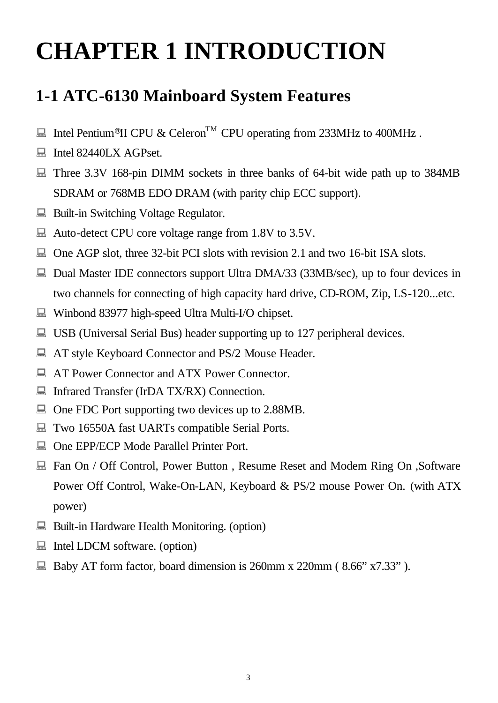## **CHAPTER 1 INTRODUCTION**

### **1-1 ATC-6130 Mainboard System Features**

- $\Box$  Intel Pentium®II CPU & Celeron<sup>TM</sup> CPU operating from 233MHz to 400MHz.
- $\Box$  Intel 82440LX AGPset.
- : Three 3.3V 168-pin DIMM sockets in three banks of 64-bit wide path up to 384MB SDRAM or 768MB EDO DRAM (with parity chip ECC support).
- Built-in Switching Voltage Regulator.
- $\Box$  Auto-detect CPU core voltage range from 1.8V to 3.5V.
- One AGP slot, three 32-bit PCI slots with revision 2.1 and two 16-bit ISA slots.
- Dual Master IDE connectors support Ultra DMA/33 (33MB/sec), up to four devices in two channels for connecting of high capacity hard drive, CD-ROM, Zip, LS-120...etc.
- $\Box$  Winbond 83977 high-speed Ultra Multi-I/O chipset.
- $\Box$  USB (Universal Serial Bus) header supporting up to 127 peripheral devices.
- **E** AT style Keyboard Connector and PS/2 Mouse Header.
- **E.** AT Power Connector and ATX Power Connector.
- Infrared Transfer (IrDA TX/RX) Connection.
- $\Box$  One FDC Port supporting two devices up to 2.88MB.
- : Two 16550A fast UARTs compatible Serial Ports.
- One EPP/ECP Mode Parallel Printer Port.
- Fan On / Off Control, Power Button, Resume Reset and Modem Ring On , Software Power Off Control, Wake-On-LAN, Keyboard & PS/2 mouse Power On. (with ATX power)
- Built-in Hardware Health Monitoring. (option)
- $\Box$  Intel LDCM software. (option)
- : Baby AT form factor, board dimension is 260mm x 220mm ( 8.66" x7.33" ).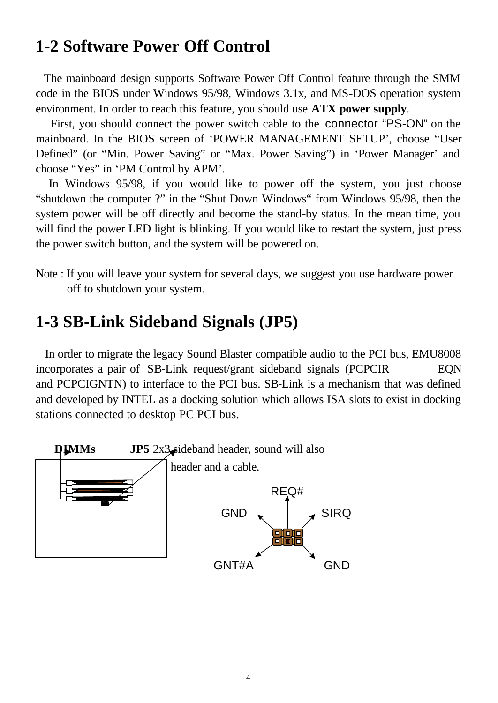### **1-2 Software Power Off Control**

 The mainboard design supports Software Power Off Control feature through the SMM code in the BIOS under Windows 95/98, Windows 3.1x, and MS-DOS operation system environment. In order to reach this feature, you should use **ATX power supply**.

 First, you should connect the power switch cable to the connector "PS-ON" on the mainboard. In the BIOS screen of 'POWER MANAGEMENT SETUP', choose "User Defined" (or "Min. Power Saving" or "Max. Power Saving") in 'Power Manager' and choose "Yes" in 'PM Control by APM'.

 In Windows 95/98, if you would like to power off the system, you just choose "shutdown the computer ?" in the "Shut Down Windows" from Windows 95/98, then the system power will be off directly and become the stand-by status. In the mean time, you will find the power LED light is blinking. If you would like to restart the system, just press the power switch button, and the system will be powered on.

Note : If you will leave your system for several days, we suggest you use hardware power off to shutdown your system.

### **1-3 SB-Link Sideband Signals (JP5)**

 In order to migrate the legacy Sound Blaster compatible audio to the PCI bus, EMU8008 incorporates a pair of SB-Link request/grant sideband signals (PCPCIR EQN and PCPCIGNTN) to interface to the PCI bus. SB-Link is a mechanism that was defined and developed by INTEL as a docking solution which allows ISA slots to exist in docking stations connected to desktop PC PCI bus.

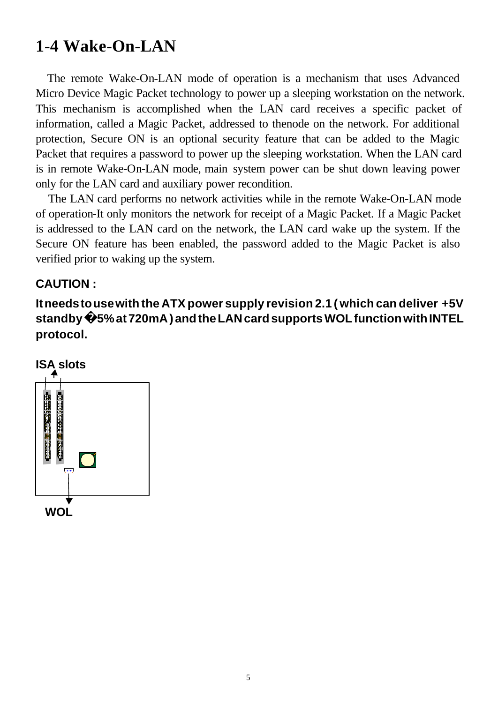### **1-4 Wake-On-LAN**

 The remote Wake-On-LAN mode of operation is a mechanism that uses Advanced Micro Device Magic Packet technology to power up a sleeping workstation on the network. This mechanism is accomplished when the LAN card receives a specific packet of information, called a Magic Packet, addressed to thenode on the network. For additional protection, Secure ON is an optional security feature that can be added to the Magic Packet that requires a password to power up the sleeping workstation. When the LAN card is in remote Wake-On-LAN mode, main system power can be shut down leaving power only for the LAN card and auxiliary power recondition.

 The LAN card performs no network activities while in the remote Wake-On-LAN mode of operation-It only monitors the network for receipt of a Magic Packet. If a Magic Packet is addressed to the LAN card on the network, the LAN card wake up the system. If the Secure ON feature has been enabled, the password added to the Magic Packet is also verified prior to waking up the system.

### **CAUTION :**

**It needs to use with the ATX power supply revision 2.1 ( which can deliver +5V standby 5% at 720mA ) and the LAN card supports WOL function with INTEL protocol.**

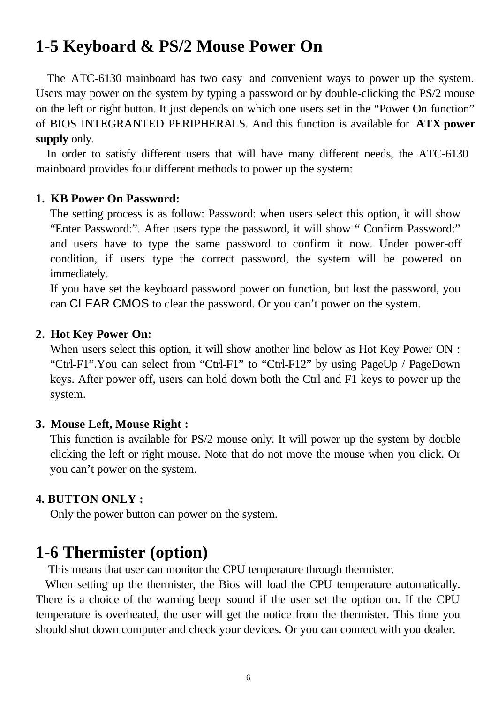### **1-5 Keyboard & PS/2 Mouse Power On**

 The ATC-6130 mainboard has two easy and convenient ways to power up the system. Users may power on the system by typing a password or by double-clicking the PS/2 mouse on the left or right button. It just depends on which one users set in the "Power On function" of BIOS INTEGRANTED PERIPHERALS. And this function is available for **ATX power supply** only.

 In order to satisfy different users that will have many different needs, the ATC-6130 mainboard provides four different methods to power up the system:

#### **1. KB Power On Password:**

The setting process is as follow: Password: when users select this option, it will show "Enter Password:". After users type the password, it will show " Confirm Password:" and users have to type the same password to confirm it now. Under power-off condition, if users type the correct password, the system will be powered on immediately.

If you have set the keyboard password power on function, but lost the password, you can CLEAR CMOS to clear the password. Or you can't power on the system.

#### **2. Hot Key Power On:**

When users select this option, it will show another line below as Hot Key Power ON : "Ctrl-F1".You can select from "Ctrl-F1" to "Ctrl-F12" by using PageUp / PageDown keys. After power off, users can hold down both the Ctrl and F1 keys to power up the system.

#### **3. Mouse Left, Mouse Right :**

This function is available for PS/2 mouse only. It will power up the system by double clicking the left or right mouse. Note that do not move the mouse when you click. Or you can't power on the system.

#### **4. BUTTON ONLY :**

Only the power button can power on the system.

### **1-6 Thermister (option)**

This means that user can monitor the CPU temperature through thermister.

 When setting up the thermister, the Bios will load the CPU temperature automatically. There is a choice of the warning beep sound if the user set the option on. If the CPU temperature is overheated, the user will get the notice from the thermister. This time you should shut down computer and check your devices. Or you can connect with you dealer.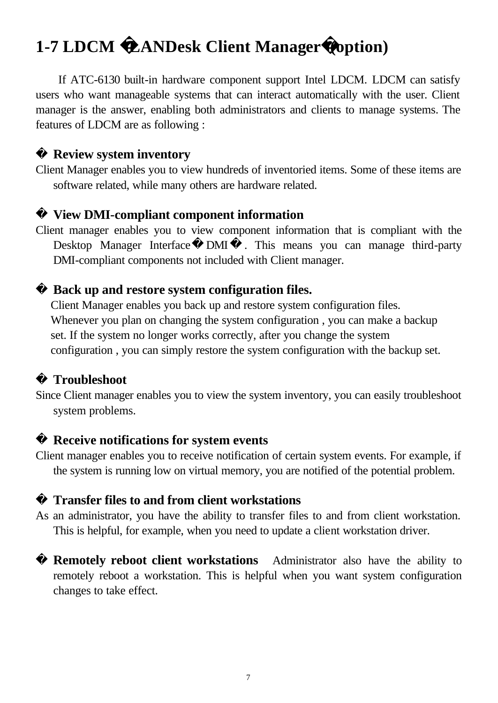### **1-7 LDCM LANDesk Client Manager (option)**

If ATC-6130 built-in hardware component support Intel LDCM. LDCM can satisfy users who want manageable systems that can interact automatically with the user. Client manager is the answer, enabling both administrators and clients to manage systems. The features of LDCM are as following :

#### **Review system inventory**

Client Manager enables you to view hundreds of inventoried items. Some of these items are software related, while many others are hardware related.

#### **View DMI-compliant component information**

Client manager enables you to view component information that is compliant with the Desktop Manager Interface DMI . This means you can manage third-party DMI-compliant components not included with Client manager.

#### **Back up and restore system configuration files.**

Client Manager enables you back up and restore system configuration files. Whenever you plan on changing the system configuration , you can make a backup set. If the system no longer works correctly, after you change the system configuration , you can simply restore the system configuration with the backup set.

#### **Troubleshoot**

Since Client manager enables you to view the system inventory, you can easily troubleshoot system problems.

#### **Receive notifications for system events**

Client manager enables you to receive notification of certain system events. For example, if the system is running low on virtual memory, you are notified of the potential problem.

#### **Transfer files to and from client workstations**

As an administrator, you have the ability to transfer files to and from client workstation. This is helpful, for example, when you need to update a client workstation driver.

**Remotely reboot client workstations** Administrator also have the ability to remotely reboot a workstation. This is helpful when you want system configuration changes to take effect.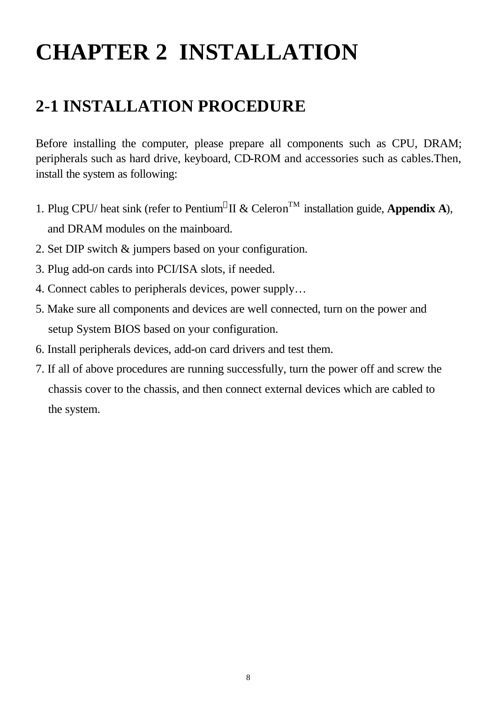## **CHAPTER 2 INSTALLATION**

### **2-1 INSTALLATION PROCEDURE**

Before installing the computer, please prepare all components such as CPU, DRAM; peripherals such as hard drive, keyboard, CD-ROM and accessories such as cables.Then, install the system as following:

- 1. Plug CPU/ heat sink (refer to Pentium<sup>®</sup>II & Celeron<sup>TM</sup> installation guide, **Appendix A**), and DRAM modules on the mainboard.
- 2. Set DIP switch & jumpers based on your configuration.
- 3. Plug add-on cards into PCI/ISA slots, if needed.
- 4. Connect cables to peripherals devices, power supply…
- 5. Make sure all components and devices are well connected, turn on the power and setup System BIOS based on your configuration.
- 6. Install peripherals devices, add-on card drivers and test them.
- 7. If all of above procedures are running successfully, turn the power off and screw the chassis cover to the chassis, and then connect external devices which are cabled to the system.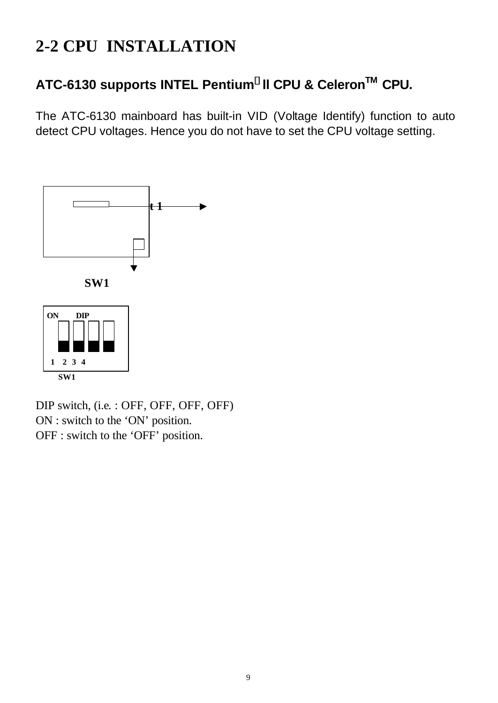### **2-2 CPU INSTALLATION**

### **ATC-6130 supports INTEL Pentium<sup>â</sup> ll CPU & CeleronTM CPU.**

The ATC-6130 mainboard has built-in VID (Voltage Identify) function to auto detect CPU voltages. Hence you do not have to set the CPU voltage setting.



DIP switch, (i.e. : OFF, OFF, OFF, OFF) ON : switch to the 'ON' position. OFF : switch to the 'OFF' position.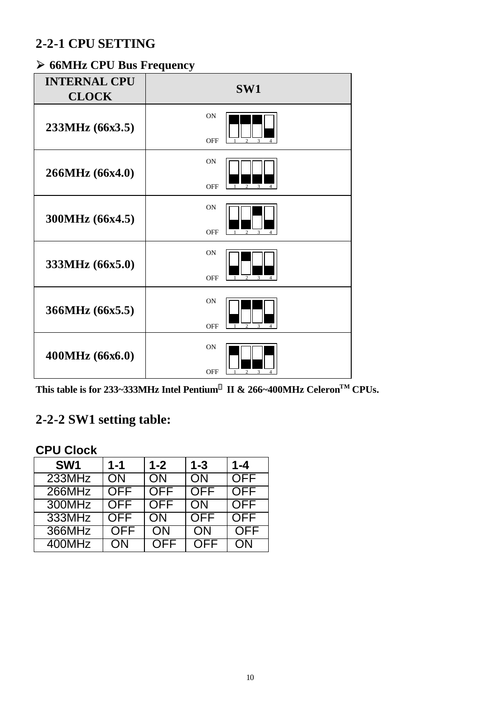### **2-2-1 CPU SETTING**

### **ÿ 66MHz CPU Bus Frequency**

| <b>INTERNAL CPU</b><br><b>CLOCK</b> | SW1                                                             |
|-------------------------------------|-----------------------------------------------------------------|
| 233MHz (66x3.5)                     | ON<br><b>OFF</b>                                                |
| 266MHz (66x4.0)                     | <b>ON</b><br><b>OFF</b><br>$2 \quad 3$                          |
| 300MHz (66x4.5)                     | <b>ON</b><br><b>OFF</b><br>3<br>$\gamma$                        |
| 333MHz (66x5.0)                     | <b>ON</b><br><b>OFF</b><br>$\mathcal{L}$<br>3<br>$\overline{4}$ |
| 366MHz (66x5.5)                     | <b>ON</b><br><b>OFF</b><br>3<br>$\mathfrak{D}$                  |
| 400MHz (66x6.0)                     | <b>ON</b><br><b>OFF</b><br>3<br>$\mathcal{L}$                   |

**This table is for 233~333MHz Intel Pentium<sup>â</sup> II & 266~400MHz CeleronTM CPUs.**

### **2-2-2 SW1 setting table:**

### **CPU Clock**

| SW <sub>1</sub> | $1 - 1$    | $1 - 2$    | $1 - 3$    | $1 - 4$    |
|-----------------|------------|------------|------------|------------|
| 233MHz          | ON         | ON         | ON         | <b>OFF</b> |
| <b>266MHz</b>   | <b>OFF</b> | <b>OFF</b> | <b>OFF</b> | <b>OFF</b> |
| 300MHz          | <b>OFF</b> | <b>OFF</b> | ON         | <b>OFF</b> |
| 333MHz          | <b>OFF</b> | <b>ON</b>  | <b>OFF</b> | <b>OFF</b> |
| 366MHz          | <b>OFF</b> | ON         | <b>ON</b>  | <b>OFF</b> |
| 400MHz          | ON         | OFF        | OFF        | ON         |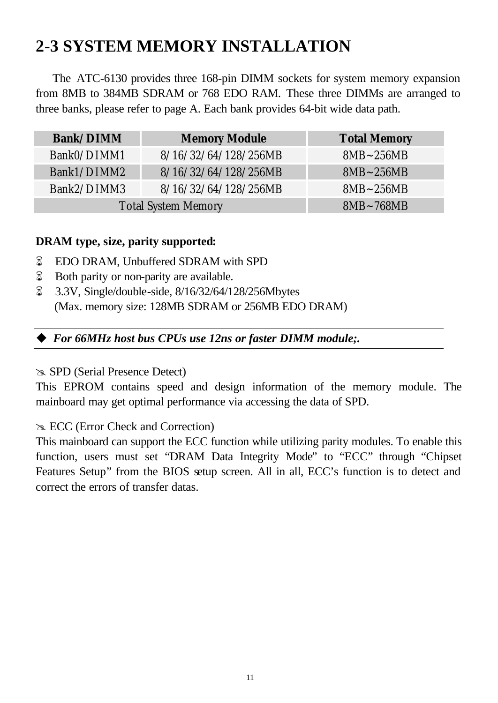### **2-3 SYSTEM MEMORY INSTALLATION**

 The ATC-6130 provides three 168-pin DIMM sockets for system memory expansion from 8MB to 384MB SDRAM or 768 EDO RAM. These three DIMMs are arranged to three banks, please refer to page A. Each bank provides 64-bit wide data path.

| <b>Bank/DIMM</b>           | <b>Memory Module</b> | <b>Total Memory</b> |
|----------------------------|----------------------|---------------------|
| Bank0/DIMM1                | 8/16/32/64/128/256MB | $8MB-256MB$         |
| Bank1/DIMM2                | 8/16/32/64/128/256MB | $8MB-256MB$         |
| Bank2/DIMM3                | 8/16/32/64/128/256MB | $8MB-256MB$         |
| <b>Total System Memory</b> | $8MB-768MB$          |                     |

### **DRAM type, size, parity supported:**

- **EDO DRAM, Unbuffered SDRAM with SPD**
- $\%$  Both parity or non-parity are available.
- 6 3.3V, Single/double-side, 8/16/32/64/128/256Mbytes (Max. memory size: 128MB SDRAM or 256MB EDO DRAM)

◆ For 66MHz host bus CPUs use 12ns or faster DIMM module;.

#### @ SPD (Serial Presence Detect)

This EPROM contains speed and design information of the memory module. The mainboard may get optimal performance via accessing the data of SPD.

### $\cong$  ECC (Error Check and Correction)

This mainboard can support the ECC function while utilizing parity modules. To enable this function, users must set "DRAM Data Integrity Mode" to "ECC" through "Chipset Features Setup" from the BIOS setup screen. All in all, ECC's function is to detect and correct the errors of transfer datas.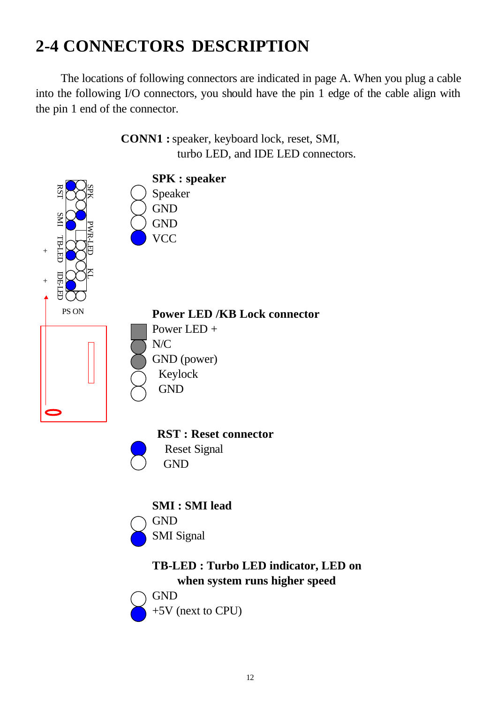### **2-4 CONNECTORS DESCRIPTION**

 The locations of following connectors are indicated in page A. When you plug a cable into the following I/O connectors, you should have the pin 1 edge of the cable align with the pin 1 end of the connector.

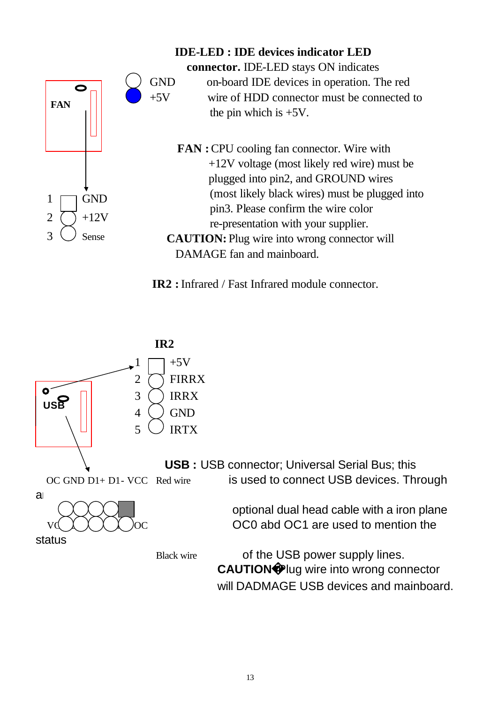

**IDE-LED : IDE devices indicator LED** 

 **connector.** IDE-LED stays ON indicates GND on-board IDE devices in operation. The red +5V wire of HDD connector must be connected to the pin which is  $+5V$ .

 **FAN :** CPU cooling fan connector. Wire with +12V voltage (most likely red wire) must be plugged into pin2, and GROUND wires (most likely black wires) must be plugged into pin3. Please confirm the wire color re-presentation with your supplier.  **CAUTION:** Plug wire into wrong connector will DAMAGE fan and mainboard.

**IR2 :** Infrared / Fast Infrared module connector.



 of the USB power supply lines. **CAUTION** Plug wire into wrong connector will DADMAGE USB devices and mainboard.

 optional dual head cable with a iron plane OC0 abd OC1 are used to mention the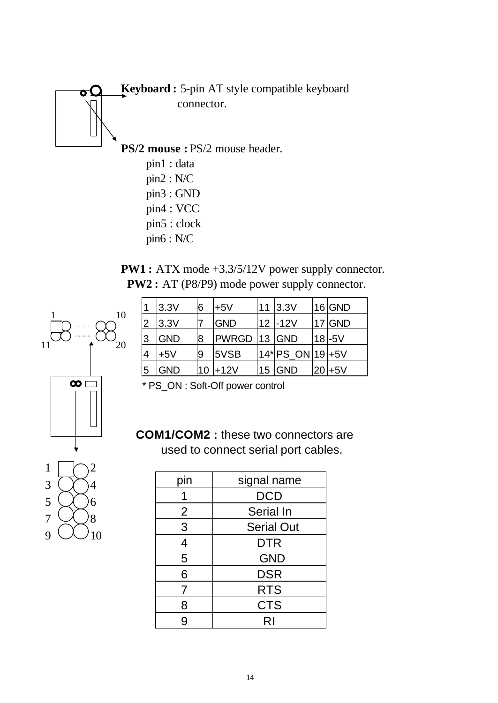

- pin2 : N/C pin3 : GND pin4 : VCC pin5 : clock
- pin6 : N/C

**PW1 :** ATX mode +3.3/5/12V power supply connector. **PW2 :** AT (P8/P9) mode power supply connector.



|                | 3.3V       | 6  | $+5V$               | 11 | 3.3V             | $16$ GND    |
|----------------|------------|----|---------------------|----|------------------|-------------|
| $\overline{2}$ | 3.3V       |    | <b>GND</b>          | 12 | $-12V$           | $17$ GND    |
| 3              | <b>GND</b> | 8  | <b>PWRGD 13 GND</b> |    |                  | $18 - 5V$   |
|                | $+5V$      | 9  | 5VSB                |    | 14* PS_ON 19 +5V |             |
| 5              | <b>GND</b> | 10 | $+12V$              | 15 | <b>GND</b>       | $ 20  + 5V$ |

\* PS\_ON : Soft-Off power control

**COM1/COM2 :** these two connectors are used to connect serial port cables.

| pin            | signal name       |
|----------------|-------------------|
|                | <b>DCD</b>        |
| $\overline{2}$ | Serial In         |
| 3              | <b>Serial Out</b> |
| 4              | <b>DTR</b>        |
| 5              | <b>GND</b>        |
| 6              | <b>DSR</b>        |
| $\overline{7}$ | <b>RTS</b>        |
| 8              | <b>CTS</b>        |
| g              | RI                |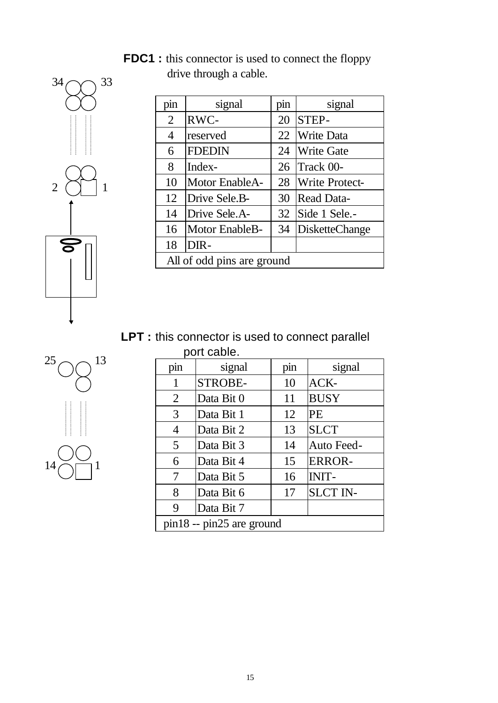| pin | signal                     | pin | signal                |
|-----|----------------------------|-----|-----------------------|
| 2   | RWC-                       | 20  | STEP-                 |
| 4   | reserved                   | 22  | <b>Write Data</b>     |
| 6   | <b>FDEDIN</b>              | 24  | <b>Write Gate</b>     |
| 8   | Index-                     | 26  | Track 00-             |
| 10  | Motor EnableA-             | 28  | <b>Write Protect-</b> |
| 12  | Drive Sele.B-              | 30  | Read Data-            |
| 14  | Drive Sele.A-              | 32  | Side 1 Sele.-         |
| 16  | Motor EnableB-             | 34  | <b>DisketteChange</b> |
| 18  | DIR-                       |     |                       |
|     | All of odd pins are ground |     |                       |



**LPT** : this connector is used to connect parallel port cable.

|                           | port capie. |     |                 |
|---------------------------|-------------|-----|-----------------|
| pın                       | signal      | pin | signal          |
| 1                         | STROBE-     | 10  | ACK-            |
| 2                         | Data Bit 0  | 11  | <b>BUSY</b>     |
| 3                         | Data Bit 1  | 12  | PE              |
| 4                         | Data Bit 2  | 13  | <b>SLCT</b>     |
| 5                         | Data Bit 3  | 14  | Auto Feed-      |
| 6                         | Data Bit 4  | 15  | <b>ERROR-</b>   |
| 7                         | Data Bit 5  | 16  | <b>INIT-</b>    |
| 8                         | Data Bit 6  | 17  | <b>SLCT IN-</b> |
| 9                         | Data Bit 7  |     |                 |
| pin18 -- pin25 are ground |             |     |                 |



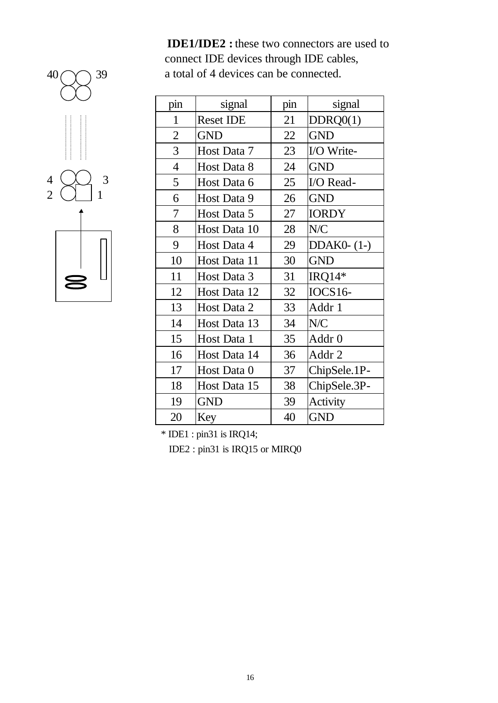**IDE1/IDE2 :** these two connectors are used to connect IDE devices through IDE cables, a total of 4 devices can be connected.

| 4<br>2 |  |  |
|--------|--|--|
|        |  |  |

 $40 \bigcirc 39$ 

| pin                      | signal           | pin | signal        |
|--------------------------|------------------|-----|---------------|
| $\mathbf{1}$             | <b>Reset IDE</b> | 21  | DDRQ0(1)      |
| $\overline{2}$           | <b>GND</b>       | 22  | <b>GND</b>    |
| 3                        | Host Data 7      | 23  | I/O Write-    |
| $\overline{\mathcal{A}}$ | Host Data 8      | 24  | <b>GND</b>    |
| 5                        | Host Data 6      | 25  | I/O Read-     |
| 6                        | Host Data 9      | 26  | <b>GND</b>    |
| 7                        | Host Data 5      | 27  | <b>IORDY</b>  |
| 8                        | Host Data 10     | 28  | N/C           |
| 9                        | Host Data 4      | 29  | DDAK0- $(1-)$ |
| 10                       | Host Data 11     | 30  | <b>GND</b>    |
| 11                       | Host Data 3      | 31  | IRQ14*        |
| 12                       | Host Data 12     | 32  | IOCS16-       |
| 13                       | Host Data 2      | 33  | Addr 1        |
| 14                       | Host Data 13     | 34  | N/C           |
| 15                       | Host Data 1      | 35  | Addr 0        |
| 16                       | Host Data 14     | 36  | Addr 2        |
| 17                       | Host Data 0      | 37  | ChipSele.1P-  |
| 18                       | Host Data 15     | 38  | ChipSele.3P-  |
| 19                       | <b>GND</b>       | 39  | Activity      |
| 20                       | Key              | 40  | <b>GND</b>    |

\* IDE1 : pin31 is IRQ14;

IDE2 : pin31 is IRQ15 or MIRQ0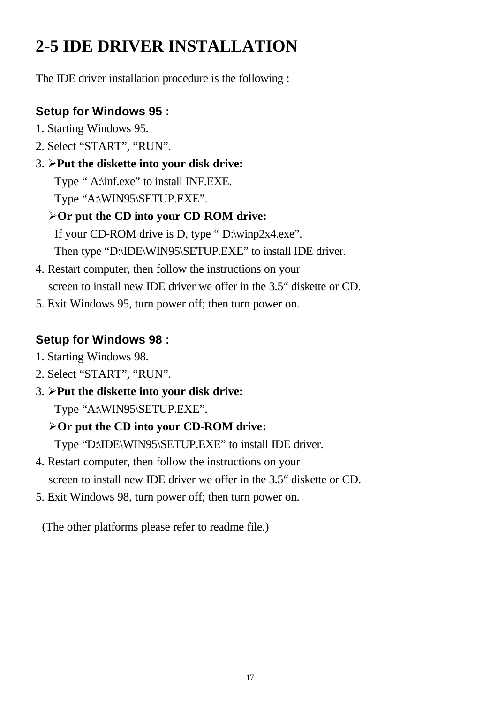## **2-5 IDE DRIVER INSTALLATION**

The IDE driver installation procedure is the following :

### **Setup for Windows 95 :**

- 1. Starting Windows 95.
- 2. Select "START", "RUN".
- 3. ÿ**Put the diskette into your disk drive:**

Type " A:\inf.exe" to install INF.EXE.

Type "A:\WIN95\SETUP.EXE".

### ÿ**Or put the CD into your CD-ROM drive:**

If your CD-ROM drive is D, type " $D:\wedge^2A.exe$ ". Then type "D:\IDE\WIN95\SETUP.EXE" to install IDE driver.

- 4. Restart computer, then follow the instructions on your screen to install new IDE driver we offer in the 3.5" diskette or CD.
- 5. Exit Windows 95, turn power off; then turn power on.

### **Setup for Windows 98 :**

- 1. Starting Windows 98.
- 2. Select "START", "RUN".
- 3. ÿ**Put the diskette into your disk drive:** Type "A:\WIN95\SETUP.EXE".

### ÿ**Or put the CD into your CD-ROM drive:**

Type "D:\IDE\WIN95\SETUP.EXE" to install IDE driver.

- 4. Restart computer, then follow the instructions on your screen to install new IDE driver we offer in the 3.5" diskette or CD.
- 5. Exit Windows 98, turn power off; then turn power on.

(The other platforms please refer to readme file.)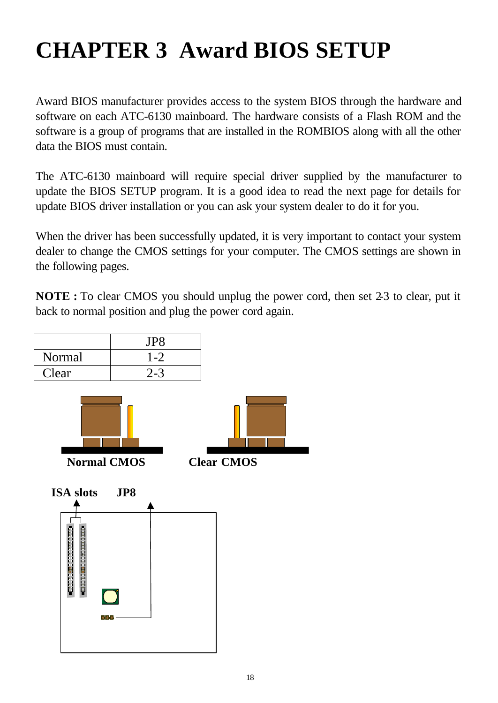## **CHAPTER 3 Award BIOS SETUP**

Award BIOS manufacturer provides access to the system BIOS through the hardware and software on each ATC-6130 mainboard. The hardware consists of a Flash ROM and the software is a group of programs that are installed in the ROMBIOS along with all the other data the BIOS must contain.

The ATC-6130 mainboard will require special driver supplied by the manufacturer to update the BIOS SETUP program. It is a good idea to read the next page for details for update BIOS driver installation or you can ask your system dealer to do it for you.

When the driver has been successfully updated, it is very important to contact your system dealer to change the CMOS settings for your computer. The CMOS settings are shown in the following pages.

**NOTE :** To clear CMOS you should unplug the power cord, then set 2-3 to clear, put it back to normal position and plug the power cord again.

|        | TPX. |
|--------|------|
| Normal |      |
| Clear  |      |



**Normal CMOS Clear CMOS**



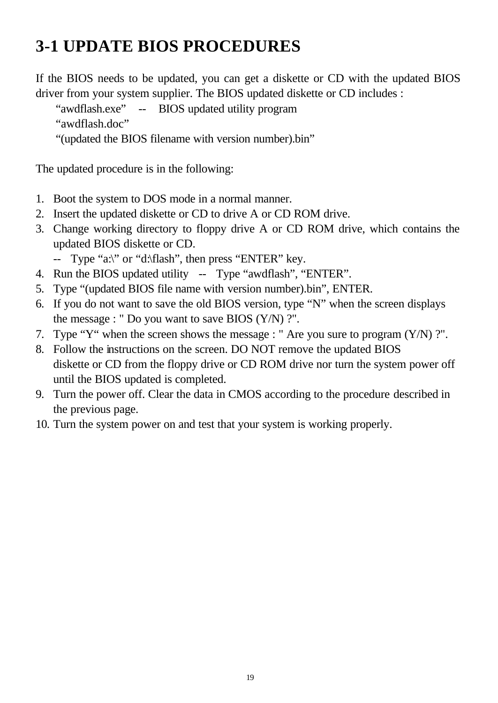### **3-1 UPDATE BIOS PROCEDURES**

If the BIOS needs to be updated, you can get a diskette or CD with the updated BIOS driver from your system supplier. The BIOS updated diskette or CD includes :

"awdflash.exe" -- BIOS updated utility program

"awdflash.doc"

"(updated the BIOS filename with version number).bin"

The updated procedure is in the following:

- 1. Boot the system to DOS mode in a normal manner.
- 2. Insert the updated diskette or CD to drive A or CD ROM drive.
- 3. Change working directory to floppy drive A or CD ROM drive, which contains the updated BIOS diskette or CD.
	- -- Type "a:\" or "d:\flash", then press "ENTER" key.
- 4. Run the BIOS updated utility -- Type "awdflash", "ENTER".
- 5. Type "(updated BIOS file name with version number).bin", ENTER.
- 6. If you do not want to save the old BIOS version, type "N" when the screen displays the message : " Do you want to save BIOS (Y/N) ?".
- 7. Type "Y" when the screen shows the message : " Are you sure to program (Y/N) ?".
- 8. Follow the instructions on the screen. DO NOT remove the updated BIOS diskette or CD from the floppy drive or CD ROM drive nor turn the system power off until the BIOS updated is completed.
- 9. Turn the power off. Clear the data in CMOS according to the procedure described in the previous page.
- 10. Turn the system power on and test that your system is working properly.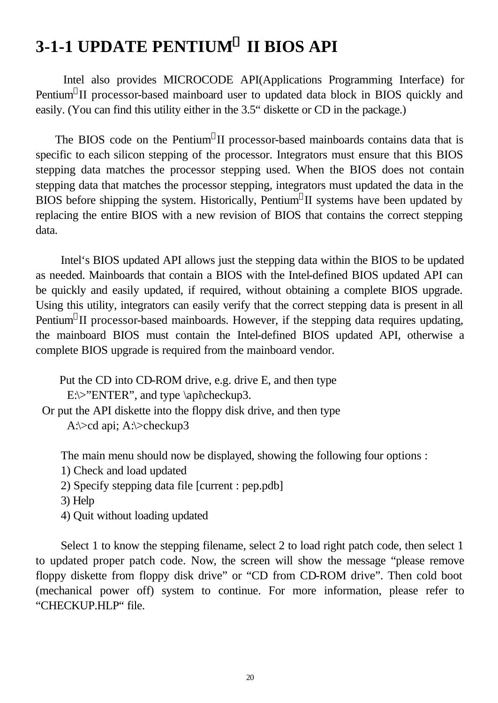## **3-1-1 UPDATE PENTIUM<sup>â</sup> II BIOS API**

 Intel also provides MICROCODE API(Applications Programming Interface) for Pentium<sup>®</sup>II processor-based mainboard user to updated data block in BIOS quickly and easily. (You can find this utility either in the 3.5" diskette or CD in the package.)

The BIOS code on the Pentium<sup>®</sup>II processor-based mainboards contains data that is specific to each silicon stepping of the processor. Integrators must ensure that this BIOS stepping data matches the processor stepping used. When the BIOS does not contain stepping data that matches the processor stepping, integrators must updated the data in the BIOS before shipping the system. Historically, Pentium<sup>®</sup>II systems have been updated by replacing the entire BIOS with a new revision of BIOS that contains the correct stepping data.

 Intel's BIOS updated API allows just the stepping data within the BIOS to be updated as needed. Mainboards that contain a BIOS with the Intel-defined BIOS updated API can be quickly and easily updated, if required, without obtaining a complete BIOS upgrade. Using this utility, integrators can easily verify that the correct stepping data is present in all Pentium<sup>®</sup>II processor-based mainboards. However, if the stepping data requires updating, the mainboard BIOS must contain the Intel-defined BIOS updated API, otherwise a complete BIOS upgrade is required from the mainboard vendor.

Put the CD into CD-ROM drive, e.g. drive E, and then type  $E:\rangle' ENTER''$ , and type \api\checkup3. Or put the API diskette into the floppy disk drive, and then type A:\>cd api; A:\>checkup3

The main menu should now be displayed, showing the following four options :

- 1) Check and load updated
- 2) Specify stepping data file [current : pep.pdb]
- 3) Help
- 4) Quit without loading updated

Select 1 to know the stepping filename, select 2 to load right patch code, then select 1 to updated proper patch code. Now, the screen will show the message "please remove floppy diskette from floppy disk drive" or "CD from CD-ROM drive". Then cold boot (mechanical power off) system to continue. For more information, please refer to "CHECKUP.HLP" file.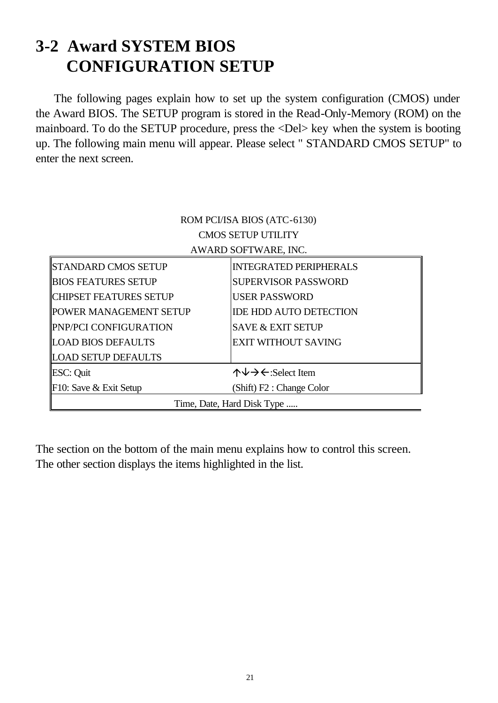### **3-2 Award SYSTEM BIOS CONFIGURATION SETUP**

 The following pages explain how to set up the system configuration (CMOS) under the Award BIOS. The SETUP program is stored in the Read-Only-Memory (ROM) on the mainboard. To do the SETUP procedure, press the <Del> key when the system is booting up. The following main menu will appear. Please select " STANDARD CMOS SETUP" to enter the next screen.

| ROM PCI/ISA BIOS (ATC-6130)   |                                                           |  |
|-------------------------------|-----------------------------------------------------------|--|
| <b>CMOS SETUP UTILITY</b>     |                                                           |  |
|                               | AWARD SOFTWARE, INC.                                      |  |
| <b>STANDARD CMOS SETUP</b>    | <b>INTEGRATED PERIPHERALS</b>                             |  |
| <b>BIOS FEATURES SETUP</b>    | <b>SUPERVISOR PASSWORD</b>                                |  |
| <b>CHIPSET FEATURES SETUP</b> | <b>USER PASSWORD</b>                                      |  |
| <b>POWER MANAGEMENT SETUP</b> | <b>IDE HDD AUTO DETECTION</b>                             |  |
| PNP/PCI CONFIGURATION         | <b>SAVE &amp; EXIT SETUP</b>                              |  |
| <b>LOAD BIOS DEFAULTS</b>     | <b>EXIT WITHOUT SAVING</b>                                |  |
| <b>LOAD SETUP DEFAULTS</b>    |                                                           |  |
| <b>ESC: Quit</b>              | $\uparrow \downarrow \rightarrow \leftarrow$ :Select Item |  |
| $FI0:$ Save & Exit Setup      | (Shift) F2 : Change Color                                 |  |
| Time, Date, Hard Disk Type    |                                                           |  |

The section on the bottom of the main menu explains how to control this screen. The other section displays the items highlighted in the list.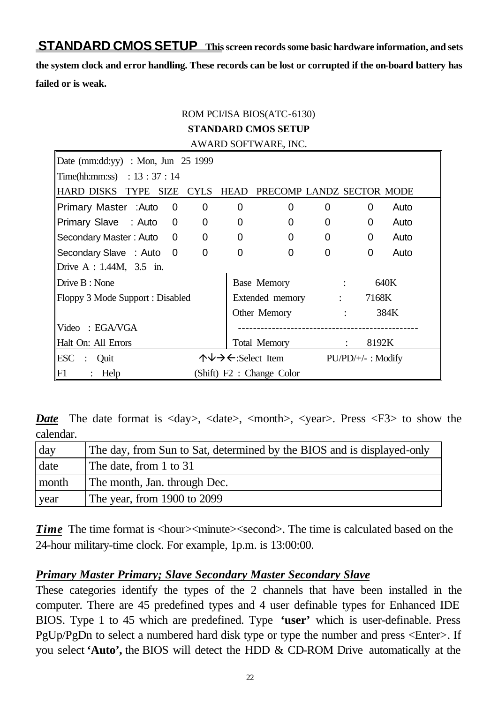**STANDARD CMOS SETUP This screen records some basic hardware information, and sets the system clock and error handling. These records can be lost or corrupted if the on-board battery has failed or is weak.**

#### ROM PCI/ISA BIOS(ATC-6130) **STANDARD CMOS SETUP** AWARD SOFTWARE, INC.

|                                                          |                |                | AWAND SUFTWANE, INC.                                      |                                   |                        |      |  |
|----------------------------------------------------------|----------------|----------------|-----------------------------------------------------------|-----------------------------------|------------------------|------|--|
| Date (mm:dd:yy) : Mon, Jun $25$ 1999                     |                |                |                                                           |                                   |                        |      |  |
| Time(hh:mm:ss) : $13 : 37 : 14$                          |                |                |                                                           |                                   |                        |      |  |
| HARD DISKS TYPE SIZE CYLS HEAD PRECOMP LANDZ SECTOR MODE |                |                |                                                           |                                   |                        |      |  |
| Primary Master : Auto 0                                  | $\mathbf 0$    | 0              | 0                                                         | 0                                 | 0                      | Auto |  |
| Primary Slave : Auto 0                                   | $\overline{0}$ | $\overline{0}$ | $\Omega$                                                  | $\mathbf 0$                       | $\Omega$               | Auto |  |
| Secondary Master: Auto 0                                 | $\mathbf 0$    | 0              | 0                                                         | 0                                 | $\overline{0}$         | Auto |  |
| Secondary Slave : Auto 0                                 | $\mathbf 0$    | $\overline{0}$ | $\overline{0}$                                            | $\Omega$                          | $\Omega$               | Auto |  |
| Drive A : 1.44M, 3.5 in.                                 |                |                |                                                           |                                   |                        |      |  |
| Drive B : None                                           |                |                | Base Memory                                               |                                   |                        | 640K |  |
| Floppy 3 Mode Support : Disabled                         |                |                | Extended memory :                                         |                                   | 7168K                  |      |  |
|                                                          |                |                | Other Memory                                              | <b>Contract Contract Contract</b> |                        | 384K |  |
| Video: EGA/VGA                                           |                |                |                                                           | ----------------------            |                        |      |  |
| Halt On: All Errors                                      |                |                | <b>Total Memory</b>                                       |                                   | 8192K<br>$\mathcal{L}$ |      |  |
| <b>ESC</b><br>: Quit                                     |                |                | $\uparrow \downarrow \rightarrow \leftarrow$ :Select Item |                                   | $PU/PD/+/-$ : Modify   |      |  |
| F1<br>Help                                               |                |                | (Shift) F2 : Change Color                                 |                                   |                        |      |  |

*Date* The date format is <day>, <date>, <month>, <year>. Press <F3> to show the calendar.

| day   | The day, from Sun to Sat, determined by the BIOS and is displayed-only |
|-------|------------------------------------------------------------------------|
| date  | The date, from 1 to 31                                                 |
| month | The month, Jan. through Dec.                                           |
| year  | The year, from 1900 to 2099                                            |

*Time* The time format is <hour>>>>>
xecond>. The time is calculated based on the 24-hour military-time clock. For example, 1p.m. is 13:00:00.

### *Primary Master Primary; Slave Secondary Master Secondary Slave*

These categories identify the types of the 2 channels that have been installed in the computer. There are 45 predefined types and 4 user definable types for Enhanced IDE BIOS. Type 1 to 45 which are predefined. Type **'user'** which is user-definable. Press PgUp/PgDn to select a numbered hard disk type or type the number and press <Enter>. If you select **'Auto',** the BIOS will detect the HDD & CD-ROM Drive automatically at the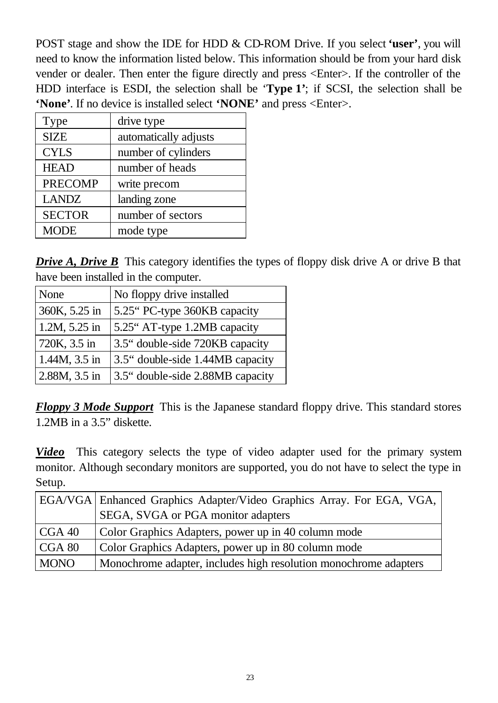POST stage and show the IDE for HDD & CD-ROM Drive. If you select **'user'**, you will need to know the information listed below. This information should be from your hard disk vender or dealer. Then enter the figure directly and press <Enter>. If the controller of the HDD interface is ESDI, the selection shall be '**Type 1'**; if SCSI, the selection shall be **'None'**. If no device is installed select **'NONE'** and press <Enter>.

| Type           | drive type            |
|----------------|-----------------------|
| <b>SIZE</b>    | automatically adjusts |
| <b>CYLS</b>    | number of cylinders   |
| <b>HEAD</b>    | number of heads       |
| <b>PRECOMP</b> | write precom          |
| <b>LANDZ</b>   | landing zone          |
| <b>SECTOR</b>  | number of sectors     |
| <b>MODE</b>    | mode type             |

*Drive A, Drive B* This category identifies the types of floppy disk drive A or drive B that have been installed in the computer.

| None          | No floppy drive installed        |
|---------------|----------------------------------|
| 360K, 5.25 in | 5.25" PC-type 360KB capacity     |
| 1.2M, 5.25 in | 5.25" AT-type 1.2MB capacity     |
| 720K, 3.5 in  | 3.5" double-side 720KB capacity  |
| 1.44M, 3.5 in | 3.5" double-side 1.44MB capacity |
| 2.88M, 3.5 in | 3.5" double-side 2.88MB capacity |

*Floppy 3 Mode Support* This is the Japanese standard floppy drive. This standard stores 1.2MB in a 3.5" diskette.

*Video* This category selects the type of video adapter used for the primary system monitor. Although secondary monitors are supported, you do not have to select the type in Setup.

|             | EGA/VGA   Enhanced Graphics Adapter/Video Graphics Array. For EGA, VGA, |
|-------------|-------------------------------------------------------------------------|
|             | SEGA, SVGA or PGA monitor adapters                                      |
| CGA40       | Color Graphics Adapters, power up in 40 column mode                     |
| CGA 80      | Color Graphics Adapters, power up in 80 column mode                     |
| <b>MONO</b> | Monochrome adapter, includes high resolution monochrome adapters        |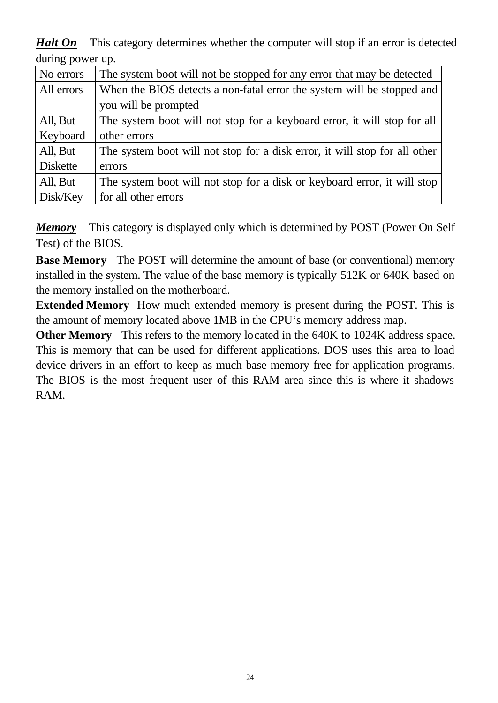*Halt On* This category determines whether the computer will stop if an error is detected during power up.

| $\Box$          |                                                                            |
|-----------------|----------------------------------------------------------------------------|
| No errors       | The system boot will not be stopped for any error that may be detected     |
| All errors      | When the BIOS detects a non-fatal error the system will be stopped and     |
|                 | you will be prompted                                                       |
| All, But        | The system boot will not stop for a keyboard error, it will stop for all   |
| Keyboard        | other errors                                                               |
| All, But        | The system boot will not stop for a disk error, it will stop for all other |
| <b>Diskette</b> | errors                                                                     |
| All, But        | The system boot will not stop for a disk or keyboard error, it will stop   |
| Disk/Key        | for all other errors                                                       |

*Memory* This category is displayed only which is determined by POST (Power On Self Test) of the BIOS.

**Base Memory** The POST will determine the amount of base (or conventional) memory installed in the system. The value of the base memory is typically 512K or 640K based on the memory installed on the motherboard.

**Extended Memory** How much extended memory is present during the POST. This is the amount of memory located above 1MB in the CPU's memory address map.

**Other Memory** This refers to the memory located in the 640K to 1024K address space. This is memory that can be used for different applications. DOS uses this area to load device drivers in an effort to keep as much base memory free for application programs. The BIOS is the most frequent user of this RAM area since this is where it shadows RAM.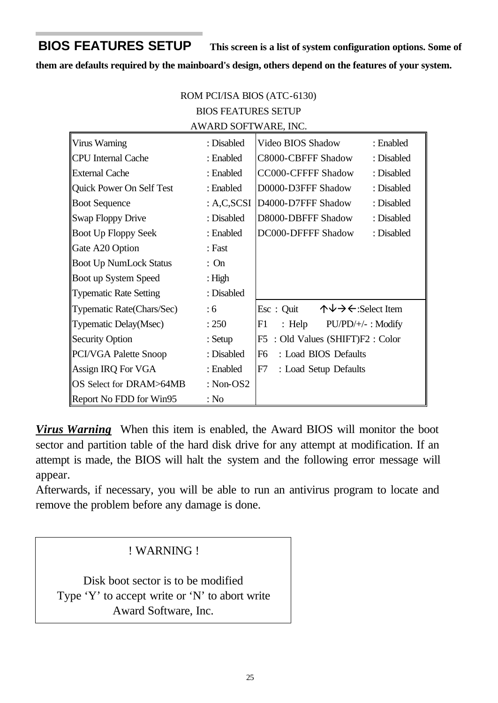**BIOS FEATURES SETUP This screen is a list of system configuration options. Some of** 

**them are defaults required by the mainboard's design, others depend on the features of your system.**

| ROM PCI/ISA BIOS (ATC-6130)             |                      |                                                                        |  |  |
|-----------------------------------------|----------------------|------------------------------------------------------------------------|--|--|
| <b>BIOS FEATURES SETUP</b>              |                      |                                                                        |  |  |
|                                         | AWARD SOFTWARE, INC. |                                                                        |  |  |
| <b>Virus Warning</b>                    | : Disabled           | Video BIOS Shadow<br>: Enabled                                         |  |  |
| <b>CPU</b> Internal Cache               | : Enabled            | C8000-CBFFF Shadow<br>: Disabled                                       |  |  |
| <b>External Cache</b>                   | : Enabled            | CC000-CFFFF Shadow<br>: Disabled                                       |  |  |
| Quick Power On Self Test                | : Enabled            | D0000-D3FFF Shadow<br>: Disabled                                       |  |  |
| <b>Boot Sequence</b>                    |                      | : A,C,SCSI  D4000-D7FFF Shadow<br>: Disabled                           |  |  |
| Swap Floppy Drive                       | : Disabled           | D8000-DBFFF Shadow<br>: Disabled                                       |  |  |
| <b>Boot Up Floppy Seek</b>              | : Enabled            | DC000-DFFFF Shadow<br>: Disabled                                       |  |  |
| Gate A20 Option                         | : Fast               |                                                                        |  |  |
| <b>Boot Up NumLock Status</b>           | : On                 |                                                                        |  |  |
| Boot up System Speed                    | : High               |                                                                        |  |  |
| <b>Typematic Rate Setting</b>           | : Disabled           |                                                                        |  |  |
| Typematic Rate(Chars/Sec)               | : 6                  | Esc: Quit<br>$\uparrow \downarrow \rightarrow \leftarrow$ :Select Item |  |  |
| Typematic Delay(Msec)                   | : 250                | : Help<br>$PU/PD/+/-$ : Modify<br>F1                                   |  |  |
| Security Option                         | $:$ Setup            | : Old Values (SHIFT)F2 : Color<br>F5                                   |  |  |
| PCI/VGA Palette Snoop                   | : Disabled           | : Load BIOS Defaults<br>F <sub>6</sub>                                 |  |  |
| Assign IRQ For VGA                      | : Enabled            | : Load Setup Defaults<br>F7                                            |  |  |
| OS Select for DRAM>64MB<br>: Non- $OS2$ |                      |                                                                        |  |  |
| Report No FDD for Win95                 | : No                 |                                                                        |  |  |

*Virus Warning* When this item is enabled, the Award BIOS will monitor the boot sector and partition table of the hard disk drive for any attempt at modification. If an attempt is made, the BIOS will halt the system and the following error message will appear.

Afterwards, if necessary, you will be able to run an antivirus program to locate and remove the problem before any damage is done.

### ! WARNING !

Disk boot sector is to be modified Type 'Y' to accept write or 'N' to abort write Award Software, Inc.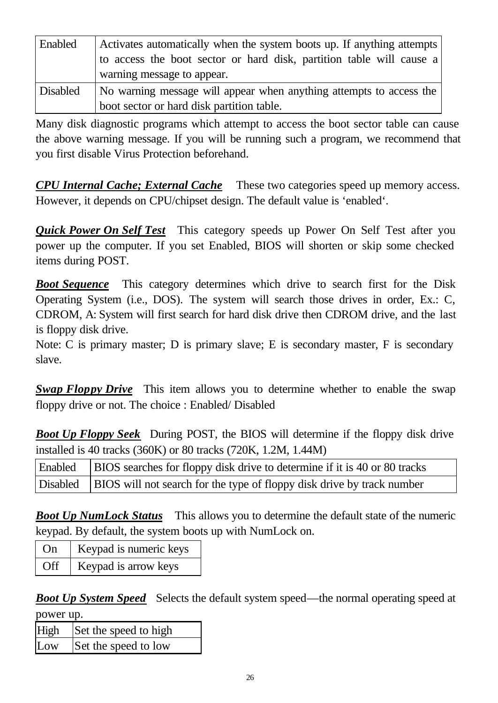| <b>Enabled</b>  | Activates automatically when the system boots up. If anything attempts |
|-----------------|------------------------------------------------------------------------|
|                 | to access the boot sector or hard disk, partition table will cause a   |
|                 | warning message to appear.                                             |
| <b>Disabled</b> | No warning message will appear when anything attempts to access the    |
|                 | boot sector or hard disk partition table.                              |

Many disk diagnostic programs which attempt to access the boot sector table can cause the above warning message. If you will be running such a program, we recommend that you first disable Virus Protection beforehand.

*CPU Internal Cache; External Cache* These two categories speed up memory access. However, it depends on CPU/chipset design. The default value is 'enabled'.

*Quick Power On Self Test* This category speeds up Power On Self Test after you power up the computer. If you set Enabled, BIOS will shorten or skip some checked items during POST.

*Boot Sequence* This category determines which drive to search first for the Disk Operating System (i.e., DOS). The system will search those drives in order, Ex.: C, CDROM, A: System will first search for hard disk drive then CDROM drive, and the last is floppy disk drive.

Note: C is primary master; D is primary slave; E is secondary master, F is secondary slave.

*Swap Floppy Drive* This item allows you to determine whether to enable the swap floppy drive or not. The choice : Enabled/ Disabled

*Boot Up Floppy Seek* During POST, the BIOS will determine if the floppy disk drive installed is 40 tracks (360K) or 80 tracks (720K, 1.2M, 1.44M)

| Enabled BIOS searches for floppy disk drive to determine if it is 40 or 80 tracks |
|-----------------------------------------------------------------------------------|
| Disabled   BIOS will not search for the type of floppy disk drive by track number |

*Boot Up NumLock Status* This allows you to determine the default state of the numeric keypad. By default, the system boots up with NumLock on.

| On  | Keypad is numeric keys |
|-----|------------------------|
| Off | Keypad is arrow keys   |

**Boot Up System Speed** Selects the default system speed—the normal operating speed at power up.

|     | High Set the speed to high |
|-----|----------------------------|
| Low | Set the speed to low       |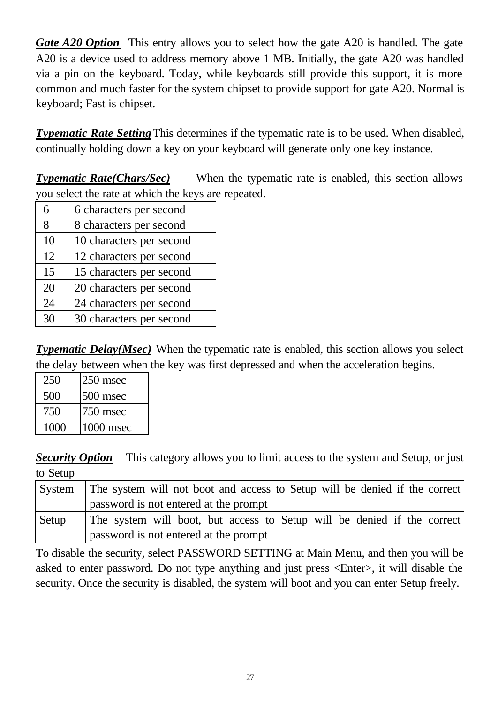*Gate A20 Option* This entry allows you to select how the gate A20 is handled. The gate A20 is a device used to address memory above 1 MB. Initially, the gate A20 was handled via a pin on the keyboard. Today, while keyboards still provide this support, it is more common and much faster for the system chipset to provide support for gate A20. Normal is keyboard; Fast is chipset.

*Typematic Rate Setting*This determines if the typematic rate is to be used. When disabled, continually holding down a key on your keyboard will generate only one key instance.

*Typematic Rate(Chars/Sec)* When the typematic rate is enabled, this section allows you select the rate at which the keys are repeated.

| 6  | 6 characters per second  |
|----|--------------------------|
| 8  | 8 characters per second  |
| 10 | 10 characters per second |
| 12 | 12 characters per second |
| 15 | 15 characters per second |
| 20 | 20 characters per second |
| 24 | 24 characters per second |
| 30 | 30 characters per second |

*Typematic Delay(Msec)* When the typematic rate is enabled, this section allows you select the delay between when the key was first depressed and when the acceleration begins.

| 250  | 250 msec   |
|------|------------|
| 500  | $500$ msec |
| 750  | $750$ msec |
| 1000 | 1000 msec  |

*Security Option* This category allows you to limit access to the system and Setup, or just to Setup

| <b>System</b> | The system will not boot and access to Setup will be denied if the correct |
|---------------|----------------------------------------------------------------------------|
|               | password is not entered at the prompt                                      |
| Setup         | The system will boot, but access to Setup will be denied if the correct    |
|               | password is not entered at the prompt                                      |

To disable the security, select PASSWORD SETTING at Main Menu, and then you will be asked to enter password. Do not type anything and just press <Enter>, it will disable the security. Once the security is disabled, the system will boot and you can enter Setup freely.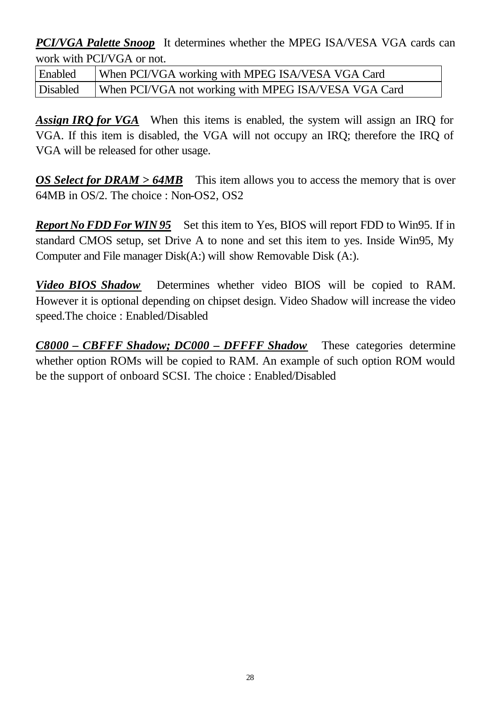*PCI/VGA Palette Snoop* It determines whether the MPEG ISA/VESA VGA cards can work with PCI/VGA or not.

| Enabled When PCI/VGA working with MPEG ISA/VESA VGA Card      |
|---------------------------------------------------------------|
| Disabled When PCI/VGA not working with MPEG ISA/VESA VGA Card |

*Assign IRQ for VGA* When this items is enabled, the system will assign an IRQ for VGA. If this item is disabled, the VGA will not occupy an IRQ; therefore the IRQ of VGA will be released for other usage.

*OS Select for DRAM > 64MB* This item allows you to access the memory that is over 64MB in OS/2. The choice : Non-OS2, OS2

*Report No FDD For WIN 95* Set this item to Yes, BIOS will report FDD to Win95. If in standard CMOS setup, set Drive A to none and set this item to yes. Inside Win95, My Computer and File manager Disk(A:) will show Removable Disk (A:).

*Video BIOS Shadow* Determines whether video BIOS will be copied to RAM. However it is optional depending on chipset design. Video Shadow will increase the video speed.The choice : Enabled/Disabled

*C8000 – CBFFF Shadow; DC000 – DFFFF Shadow* These categories determine whether option ROMs will be copied to RAM. An example of such option ROM would be the support of onboard SCSI. The choice : Enabled/Disabled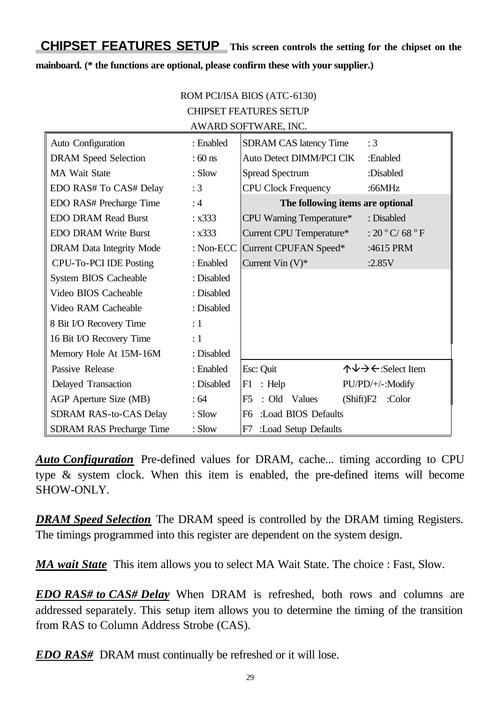**CHIPSET FEATURES SETUP** This screen controls the setting for the chipset on the **mainboard. (\* the functions are optional, please confirm these with your supplier.)**

ROM PCI/ISA BIOS (ATC-6130)

|                                 |            | <b>CHIPSET FEATURES SETUP</b>       |                                                           |
|---------------------------------|------------|-------------------------------------|-----------------------------------------------------------|
|                                 |            | AWARD SOFTWARE, INC.                |                                                           |
| Auto Configuration              | : Enabled  | <b>SDRAM CAS latency Time</b>       | :3                                                        |
| <b>DRAM</b> Speed Selection     | $:60$ ns   | Auto Detect DIMM/PCI CIK            | :Enabled                                                  |
| <b>MA Wait State</b>            | $:$ Slow   | <b>Spread Spectrum</b>              | :Disabled                                                 |
| EDO RAS# To CAS# Delay          | :3         | <b>CPU Clock Frequency</b>          | :66MHz                                                    |
| EDO RAS# Precharge Time         | :4         |                                     | The following items are optional                          |
| <b>EDO DRAM Read Burst</b>      | : x333     | CPU Warning Temperature*            | : Disabled                                                |
| <b>EDO DRAM Write Burst</b>     | : x333     | Current CPU Temperature*            | : $20^{\circ}$ C/68 $^{\circ}$ F                          |
| DRAM Data Integrity Mode        | : Non-ECC  | Current CPUFAN Speed*               | :4615 PRM                                                 |
| <b>CPU-To-PCI IDE Posting</b>   | : Enabled  | Current Vin $(V)^*$                 | :2.85V                                                    |
| System BIOS Cacheable           | : Disabled |                                     |                                                           |
| Video BIOS Cacheable            | : Disabled |                                     |                                                           |
| Video RAM Cacheable             | : Disabled |                                     |                                                           |
| 8 Bit I/O Recovery Time         | $\div 1$   |                                     |                                                           |
| 16 Bit I/O Recovery Time        | :1         |                                     |                                                           |
| Memory Hole At 15M-16M          | : Disabled |                                     |                                                           |
| Passive Release                 | : Enabled  | Esc: Quit                           | $\uparrow \downarrow \rightarrow \leftarrow$ :Select Item |
| Delayed Transaction             | : Disabled | : Help<br>F1                        | PU/PD/+/-: Modify                                         |
| AGP Aperture Size (MB)          | :64        | F <sub>5</sub><br>$:$ Old<br>Values | (Shift)F2<br>:Color                                       |
| <b>SDRAM RAS-to-CAS Delay</b>   | $:$ Slow   | :Load BIOS Defaults<br>F6           |                                                           |
| <b>SDRAM RAS Precharge Time</b> | : Slow     | F7<br>:Load Setup Defaults          |                                                           |

*Auto Configuration* Pre-defined values for DRAM, cache... timing according to CPU type & system clock. When this item is enabled, the pre-defined items will become SHOW-ONLY.

*DRAM Speed Selection* The DRAM speed is controlled by the DRAM timing Registers. The timings programmed into this register are dependent on the system design.

*MA wait State* This item allows you to select MA Wait State. The choice : Fast, Slow.

*EDO RAS# to CAS# Delay* When DRAM is refreshed, both rows and columns are addressed separately. This setup item allows you to determine the timing of the transition from RAS to Column Address Strobe (CAS).

*EDO RAS#*DRAM must continually be refreshed or it will lose.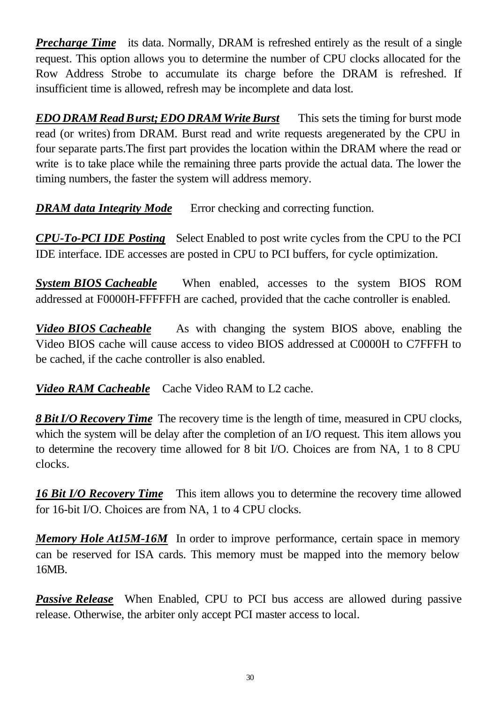*Precharge Time* its data. Normally, DRAM is refreshed entirely as the result of a single request. This option allows you to determine the number of CPU clocks allocated for the Row Address Strobe to accumulate its charge before the DRAM is refreshed. If insufficient time is allowed, refresh may be incomplete and data lost.

*EDO DRAM Read Burst; EDO DRAM Write Burst* This sets the timing for burst mode read (or writes) from DRAM. Burst read and write requests aregenerated by the CPU in four separate parts.The first part provides the location within the DRAM where the read or write is to take place while the remaining three parts provide the actual data. The lower the timing numbers, the faster the system will address memory.

*DRAM data Integrity Mode* Error checking and correcting function.

*CPU-To-PCI IDE Posting* Select Enabled to post write cycles from the CPU to the PCI IDE interface. IDE accesses are posted in CPU to PCI buffers, for cycle optimization.

**System BIOS Cacheable When enabled, accesses to the system BIOS ROM** addressed at F0000H-FFFFFH are cached, provided that the cache controller is enabled.

*Video BIOS Cacheable* As with changing the system BIOS above, enabling the Video BIOS cache will cause access to video BIOS addressed at C0000H to C7FFFH to be cached, if the cache controller is also enabled.

*Video RAM Cacheable* Cache Video RAM to L2 cache.

8 Bit I/O Recovery Time The recovery time is the length of time, measured in CPU clocks, which the system will be delay after the completion of an I/O request. This item allows you to determine the recovery time allowed for 8 bit I/O. Choices are from NA, 1 to 8 CPU clocks.

*16 Bit I/O Recovery Time* This item allows you to determine the recovery time allowed for 16-bit I/O. Choices are from NA, 1 to 4 CPU clocks.

*Memory Hole At15M-16M* In order to improve performance, certain space in memory can be reserved for ISA cards. This memory must be mapped into the memory below 16MB.

*Passive Release* When Enabled, CPU to PCI bus access are allowed during passive release. Otherwise, the arbiter only accept PCI master access to local.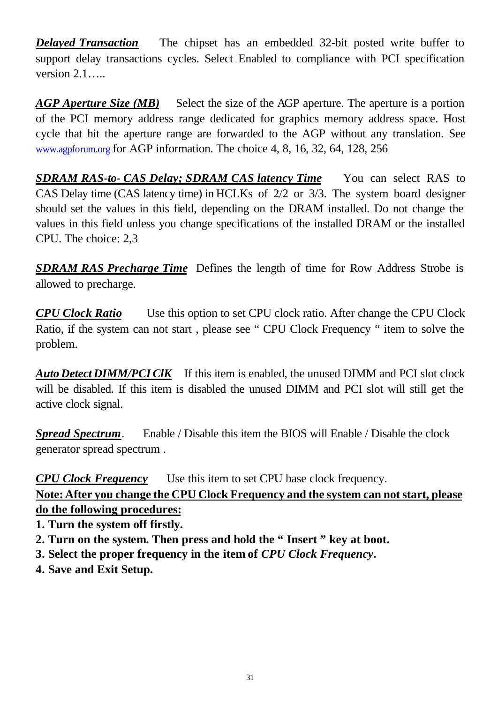*Delayed Transaction* The chipset has an embedded 32-bit posted write buffer to support delay transactions cycles. Select Enabled to compliance with PCI specification version  $2.1\dots$ .

*AGP Aperture Size (MB)* Select the size of the AGP aperture. The aperture is a portion of the PCI memory address range dedicated for graphics memory address space. Host cycle that hit the aperture range are forwarded to the AGP without any translation. See www.agpforum.org for AGP information. The choice 4, 8, 16, 32, 64, 128, 256

*SDRAM RAS-to- CAS Delay; SDRAM CAS latency Time* You can select RAS to CAS Delay time (CAS latency time) in HCLKs of 2/2 or 3/3. The system board designer should set the values in this field, depending on the DRAM installed. Do not change the values in this field unless you change specifications of the installed DRAM or the installed CPU. The choice: 2,3

*SDRAM RAS Precharge Time* Defines the length of time for Row Address Strobe is allowed to precharge.

*CPU Clock Ratio* Use this option to set CPU clock ratio. After change the CPU Clock Ratio, if the system can not start , please see " CPU Clock Frequency " item to solve the problem.

*Auto Detect DIMM/PCI ClK* If this item is enabled, the unused DIMM and PCI slot clock will be disabled. If this item is disabled the unused DIMM and PCI slot will still get the active clock signal.

*Spread Spectrum*. Enable / Disable this item the BIOS will Enable / Disable the clock generator spread spectrum .

*CPU Clock Frequency* Use this item to set CPU base clock frequency.

**Note: After you change the CPU Clock Frequency and the system can not start, please do the following procedures:**

- **1. Turn the system off firstly.**
- **2. Turn on the system. Then press and hold the " Insert " key at boot.**
- **3. Select the proper frequency in the item of** *CPU Clock Frequency***.**
- **4. Save and Exit Setup.**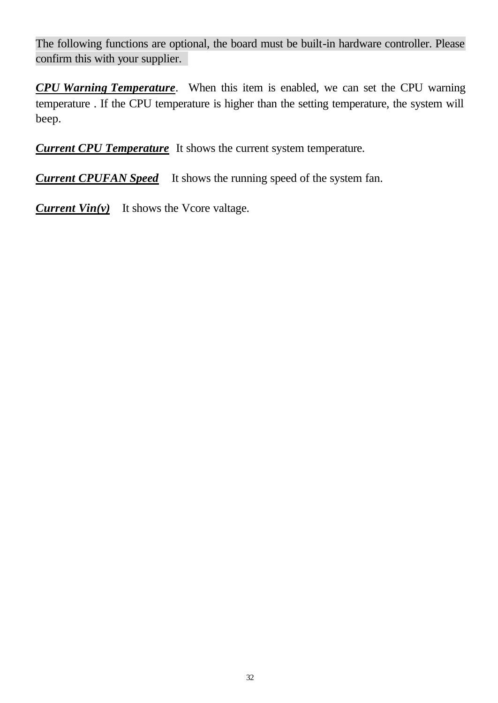The following functions are optional, the board must be built-in hardware controller. Please confirm this with your supplier.

*CPU Warning Temperature*. When this item is enabled, we can set the CPU warning temperature . If the CPU temperature is higher than the setting temperature, the system will beep.

*Current CPU Temperature* It shows the current system temperature.

*Current CPUFAN Speed* It shows the running speed of the system fan.

*Current Vin(v)* It shows the Vcore valtage.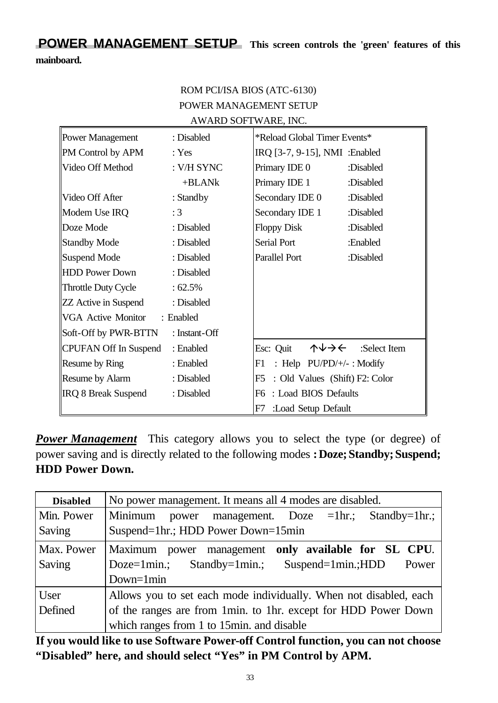### **POWER MANAGEMENT SETUP This screen controls the 'green' features of this mainboard.**

ROM PCI/ISA BIOS (ATC-6130)

| POWER MANAGEMENT SETUP          |               |                                                  |                                                           |
|---------------------------------|---------------|--------------------------------------------------|-----------------------------------------------------------|
| AWARD SOFTWARE, INC.            |               |                                                  |                                                           |
| Power Management                | : Disabled    | *Reload Global Timer Events*                     |                                                           |
| PM Control by APM               | : Yes         | IRQ [3-7, 9-15], NMI : Enabled                   |                                                           |
| Video Off Method                | : V/H SYNC    | Primary IDE 0                                    | :Disabled                                                 |
|                                 | $+BLANK$      | Primary IDE 1                                    | :Disabled                                                 |
| Video Off After                 | : Standby     | Secondary IDE 0                                  | :Disabled                                                 |
| Modem Use IRQ                   | :3            | Secondary IDE 1                                  | :Disabled                                                 |
| Doze Mode                       | : Disabled    | <b>Floppy Disk</b>                               | :Disabled                                                 |
| <b>Standby Mode</b>             | : Disabled    | <b>Serial Port</b>                               | :Enabled                                                  |
| <b>Suspend Mode</b>             | : Disabled    | <b>Parallel Port</b>                             | :Disabled                                                 |
| <b>HDD Power Down</b>           | : Disabled    |                                                  |                                                           |
| Throttle Duty Cycle             | $:62.5\%$     |                                                  |                                                           |
| <b>ZZ</b> Active in Suspend     | : Disabled    |                                                  |                                                           |
| VGA Active Monitor<br>: Enabled |               |                                                  |                                                           |
| Soft-Off by PWR-BTTN            | : Instant-Off |                                                  |                                                           |
| <b>CPUFAN Off In Suspend</b>    | : Enabled     | Esc: Quit                                        | $\uparrow \downarrow \rightarrow \leftarrow$ :Select Item |
| <b>Resume by Ring</b>           | : Enabled     | : Help PU/PD/+/- : Modify<br>F1                  |                                                           |
| Resume by Alarm                 | : Disabled    | : Old Values (Shift) F2: Color<br>F <sub>5</sub> |                                                           |
| <b>IRQ 8 Break Suspend</b>      | : Disabled    | : Load BIOS Defaults<br>F6                       |                                                           |
|                                 |               | :Load Setup Default<br>F7                        |                                                           |

**Power Management** This category allows you to select the type (or degree) of power saving and is directly related to the following modes **: Doze; Standby; Suspend; HDD Power Down.**

| <b>Disabled</b> | No power management. It means all 4 modes are disabled.           |
|-----------------|-------------------------------------------------------------------|
| Min. Power      | Minimum<br>Standby= $1hr$ .;<br>power management. Doze $=1$ hr.;  |
| Saving          | Suspend=1hr.; HDD Power Down=15min                                |
| Max. Power      | only available for SL CPU.<br>Maximum power management            |
| Saving          | $Suspended=1min$ ;HDD<br>Doze=1min.; Standby=1min.;<br>Power      |
|                 | $Down=1min$                                                       |
| <b>User</b>     | Allows you to set each mode individually. When not disabled, each |
| Defined         | of the ranges are from 1 min. to 1 hr. except for HDD Power Down  |
|                 | which ranges from 1 to 15min. and disable                         |

**If you would like to use Software Power-off Control function, you can not choose "Disabled" here, and should select "Yes" in PM Control by APM.**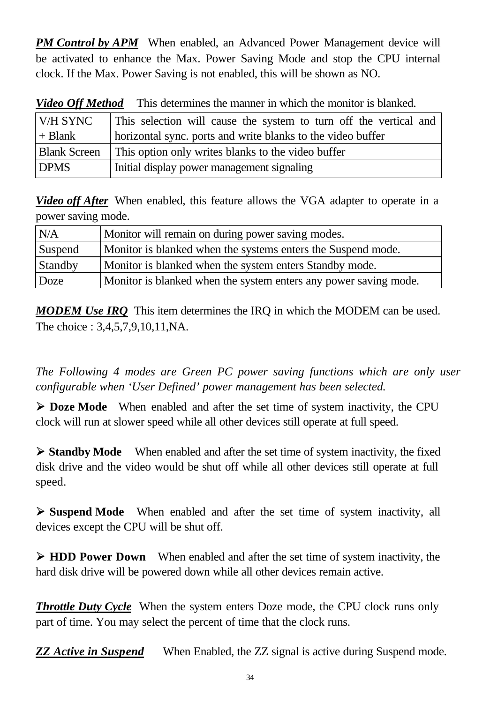*PM Control by APM* When enabled, an Advanced Power Management device will be activated to enhance the Max. Power Saving Mode and stop the CPU internal clock. If the Max. Power Saving is not enabled, this will be shown as NO.

| <i>raco On nichoa</i><br>This determines the manner in which the monitor is changed. |                                                                   |  |
|--------------------------------------------------------------------------------------|-------------------------------------------------------------------|--|
| V/H SYNC                                                                             | This selection will cause the system to turn off the vertical and |  |
| $+$ Blank                                                                            | horizontal sync. ports and write blanks to the video buffer       |  |
| <b>Blank Screen</b>                                                                  | This option only writes blanks to the video buffer                |  |
| <b>DPMS</b>                                                                          | Initial display power management signaling                        |  |

*Video Off Method* This determines the manner in which the monitor is blanked.

*Video off After* When enabled, this feature allows the VGA adapter to operate in a power saving mode.

| N/A     | Monitor will remain on during power saving modes.                |
|---------|------------------------------------------------------------------|
| Suspend | Monitor is blanked when the systems enters the Suspend mode.     |
| Standby | Monitor is blanked when the system enters Standby mode.          |
| Doze    | Monitor is blanked when the system enters any power saving mode. |

*MODEM Use IRQ* This item determines the IRQ in which the MODEM can be used. The choice : 3,4,5,7,9,10,11,NA.

*The Following 4 modes are Green PC power saving functions which are only user configurable when 'User Defined' power management has been selected.*

**ÿ Doze Mode** When enabled and after the set time of system inactivity, the CPU clock will run at slower speed while all other devices still operate at full speed.

**ÿ Standby Mode** When enabled and after the set time of system inactivity, the fixed disk drive and the video would be shut off while all other devices still operate at full speed.

**ÿ Suspend Mode** When enabled and after the set time of system inactivity, all devices except the CPU will be shut off.

**ÿ HDD Power Down** When enabled and after the set time of system inactivity, the hard disk drive will be powered down while all other devices remain active.

*Throttle Duty Cycle* When the system enters Doze mode, the CPU clock runs only part of time. You may select the percent of time that the clock runs.

*ZZ Active in Suspend* When Enabled, the ZZ signal is active during Suspend mode.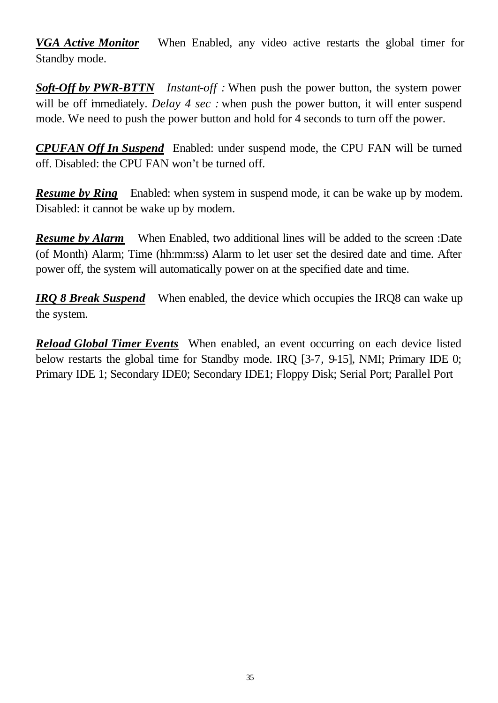*VGA Active Monitor* When Enabled, any video active restarts the global timer for Standby mode.

*Soft-Off by PWR-BTTN Instant-off :* When push the power button, the system power will be off immediately. *Delay 4 sec*: when push the power button, it will enter suspend mode. We need to push the power button and hold for 4 seconds to turn off the power.

*CPUFAN Off In Suspend* Enabled: under suspend mode, the CPU FAN will be turned off. Disabled: the CPU FAN won't be turned off.

*Resume by Ring* Enabled: when system in suspend mode, it can be wake up by modem. Disabled: it cannot be wake up by modem.

*Resume by Alarm* When Enabled, two additional lines will be added to the screen :Date (of Month) Alarm; Time (hh:mm:ss) Alarm to let user set the desired date and time. After power off, the system will automatically power on at the specified date and time.

*IRQ 8 Break Suspend* When enabled, the device which occupies the IRQ8 can wake up the system.

*Reload Global Timer Events* When enabled, an event occurring on each device listed below restarts the global time for Standby mode. IRQ [3-7, 9-15], NMI; Primary IDE 0; Primary IDE 1; Secondary IDE0; Secondary IDE1; Floppy Disk; Serial Port; Parallel Port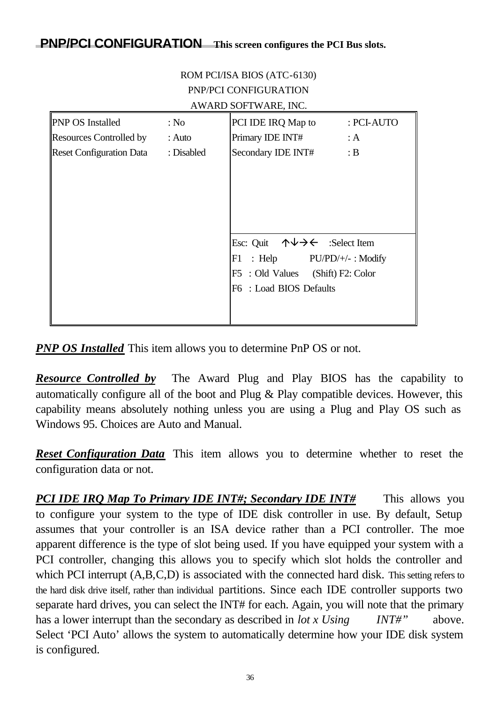ROM PCI/ISA BIOS (ATC-6130)

| ROM PCI/ISA BIOS (ATC-6130)     |            |                                                                     |                         |
|---------------------------------|------------|---------------------------------------------------------------------|-------------------------|
| PNP/PCI CONFIGURATION           |            |                                                                     |                         |
|                                 |            | AWARD SOFTWARE, INC.                                                |                         |
| <b>PNP OS Installed</b>         | : No       | PCI IDE IRQ Map to                                                  | : PCI-AUTO              |
| Resources Controlled by         | : Auto     | Primary IDE INT#                                                    | : A                     |
| <b>Reset Configuration Data</b> | : Disabled | Secondary IDE INT#                                                  | $\, : \, \mathbf{B} \,$ |
|                                 |            |                                                                     |                         |
|                                 |            |                                                                     |                         |
|                                 |            |                                                                     |                         |
|                                 |            |                                                                     |                         |
|                                 |            |                                                                     |                         |
|                                 |            | Esc: Quit $\uparrow \downarrow \rightarrow \leftarrow$ :Select Item |                         |
|                                 |            | $\therefore$ Help<br>F1                                             | $PU/PD/+/-$ : Modify    |
|                                 |            | F5 : Old Values (Shift) F2: Color                                   |                         |
|                                 |            | F6 : Load BIOS Defaults                                             |                         |
|                                 |            |                                                                     |                         |
|                                 |            |                                                                     |                         |

*PNP OS Installed* This item allows you to determine PnP OS or not.

*Resource Controlled by* The Award Plug and Play BIOS has the capability to automatically configure all of the boot and Plug & Play compatible devices. However, this capability means absolutely nothing unless you are using a Plug and Play OS such as Windows 95. Choices are Auto and Manual.

*Reset Configuration Data* This item allows you to determine whether to reset the configuration data or not.

*PCI IDE IRQ Map To Primary IDE INT#; Secondary IDE INT#* This allows you to configure your system to the type of IDE disk controller in use. By default, Setup assumes that your controller is an ISA device rather than a PCI controller. The moe apparent difference is the type of slot being used. If you have equipped your system with a PCI controller, changing this allows you to specify which slot holds the controller and which PCI interrupt  $(A, B, C, D)$  is associated with the connected hard disk. This setting refers to the hard disk drive itself, rather than individual partitions. Since each IDE controller supports two separate hard drives, you can select the INT# for each. Again, you will note that the primary has a lower interrupt than the secondary as described in *lot x Using INT#*" above. Select 'PCI Auto' allows the system to automatically determine how your IDE disk system is configured.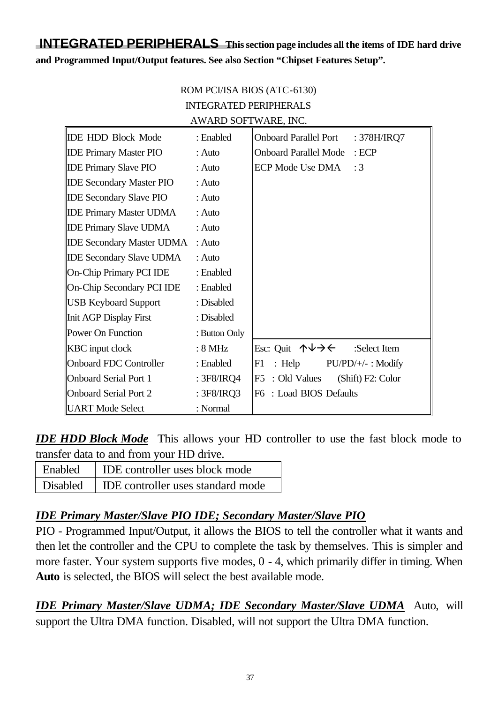**INTEGRATED PERIPHERALS This section page includes all the items of IDE hard drive and Programmed Input/Output features. See also Section "Chipset Features Setup".**

> ROM PCI/ISA BIOS (ATC-6130) INTEGRATED PERIPHERALS AWARD SOFTWARE, INC.

| <b>IDE HDD Block Mode</b>        | : Enabled     | <b>Onboard Parallel Port</b><br>: 378H/IRQ7                            |
|----------------------------------|---------------|------------------------------------------------------------------------|
| <b>IDE Primary Master PIO</b>    | : Auto        | <b>Onboard Parallel Mode</b><br>ECP                                    |
| <b>IDE Primary Slave PIO</b>     | : Auto        | <b>ECP Mode Use DMA</b><br>:3                                          |
| <b>IDE Secondary Master PIO</b>  | : Auto        |                                                                        |
| <b>IDE Secondary Slave PIO</b>   | : Auto        |                                                                        |
| <b>IDE Primary Master UDMA</b>   | : Auto        |                                                                        |
| <b>IDE Primary Slave UDMA</b>    | : Auto        |                                                                        |
| <b>IDE Secondary Master UDMA</b> | : Auto        |                                                                        |
| <b>IDE Secondary Slave UDMA</b>  | : Auto        |                                                                        |
| <b>On-Chip Primary PCI IDE</b>   | : Enabled     |                                                                        |
| <b>On-Chip Secondary PCI IDE</b> | : Enabled     |                                                                        |
| <b>USB Keyboard Support</b>      | : Disabled    |                                                                        |
| Init AGP Display First           | : Disabled    |                                                                        |
| Power On Function                | : Button Only |                                                                        |
| <b>KBC</b> input clock           | : 8 MHz       | Esc: Quit $\uparrow \downarrow \rightarrow \leftarrow$<br>:Select Item |
| <b>Onboard FDC Controller</b>    | : Enabled     | F1<br>$\colon$ Help<br>$PU/PD/+/-$ : Modify                            |
| Onboard Serial Port 1            | : $3F8/IRQ4$  | : Old Values<br>(Shift) F2: Color<br>F5                                |
| <b>Onboard Serial Port 2</b>     | : 3F8/IRQ3    | : Load BIOS Defaults<br>F6                                             |
| <b>UART</b> Mode Select          | : Normal      |                                                                        |

*IDE HDD Block Mode* This allows your HD controller to use the fast block mode to transfer data to and from your HD drive.

| Enabled   IDE controller uses block mode     |  |  |
|----------------------------------------------|--|--|
| Disabled   IDE controller uses standard mode |  |  |

### *IDE Primary Master/Slave PIO IDE; Secondary Master/Slave PIO*

PIO - Programmed Input/Output, it allows the BIOS to tell the controller what it wants and then let the controller and the CPU to complete the task by themselves. This is simpler and more faster. Your system supports five modes, 0 - 4, which primarily differ in timing. When **Auto** is selected, the BIOS will select the best available mode.

*IDE Primary Master/Slave UDMA; IDE Secondary Master/Slave UDMA* Auto, will support the Ultra DMA function. Disabled, will not support the Ultra DMA function.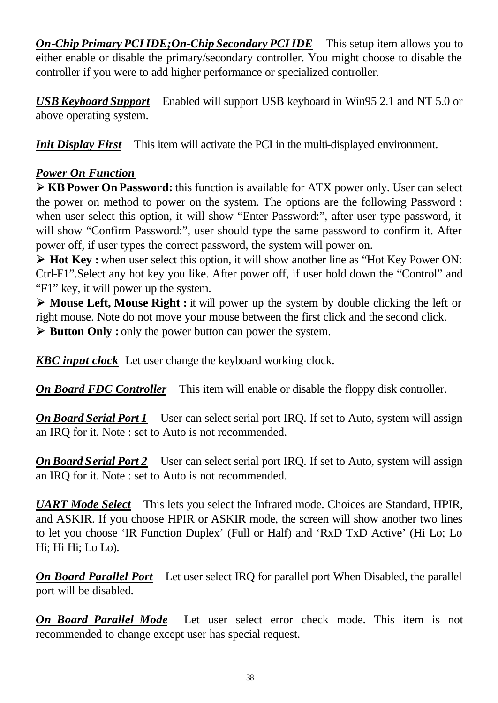*On-Chip Primary PCI IDE;On-Chip Secondary PCI IDE* This setup item allows you to either enable or disable the primary/secondary controller. You might choose to disable the controller if you were to add higher performance or specialized controller.

*USB Keyboard Support* Enabled will support USB keyboard in Win95 2.1 and NT 5.0 or above operating system.

*Init Display First* This item will activate the PCI in the multi-displayed environment.

### *Power On Function*

**ÿKB Power On Password:** this function is available for ATX power only. User can select the power on method to power on the system. The options are the following Password : when user select this option, it will show "Enter Password:", after user type password, it will show "Confirm Password:", user should type the same password to confirm it. After power off, if user types the correct password, the system will power on.

**ÿ Hot Key :** when user select this option, it will show another line as "Hot Key Power ON: Ctrl-F1".Select any hot key you like. After power off, if user hold down the "Control" and "F1" key, it will power up the system.

**ÿ Mouse Left, Mouse Right :** it will power up the system by double clicking the left or right mouse. Note do not move your mouse between the first click and the second click. **ÿ Button Only :** only the power button can power the system.

*KBC input clock* Let user change the keyboard working clock.

*On Board FDC Controller* This item will enable or disable the floppy disk controller.

*On Board Serial Port 1* User can select serial port IRQ. If set to Auto, system will assign an IRQ for it. Note : set to Auto is not recommended.

*On Board Serial Port 2* User can select serial port IRQ. If set to Auto, system will assign an IRQ for it. Note : set to Auto is not recommended.

*UART Mode Select* This lets you select the Infrared mode. Choices are Standard, HPIR, and ASKIR. If you choose HPIR or ASKIR mode, the screen will show another two lines to let you choose 'IR Function Duplex' (Full or Half) and 'RxD TxD Active' (Hi Lo; Lo Hi; Hi Hi; Lo Lo).

*On Board Parallel Port* Let user select IRQ for parallel port When Disabled, the parallel port will be disabled.

*On Board Parallel Mode* Let user select error check mode. This item is not recommended to change except user has special request.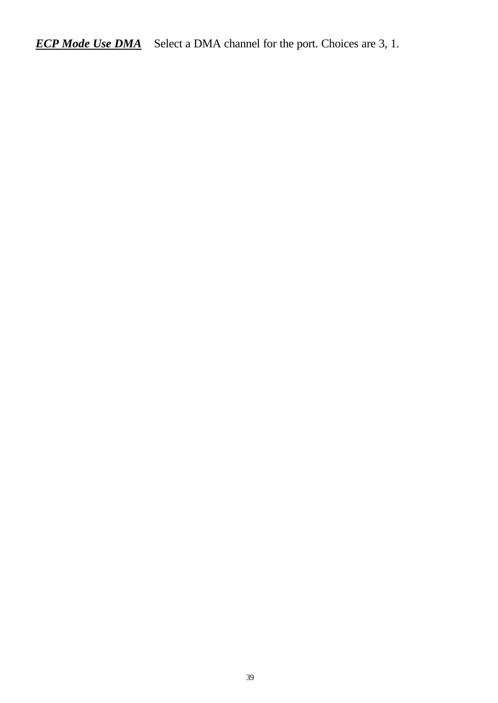*ECP Mode Use DMA* Select a DMA channel for the port. Choices are 3, 1.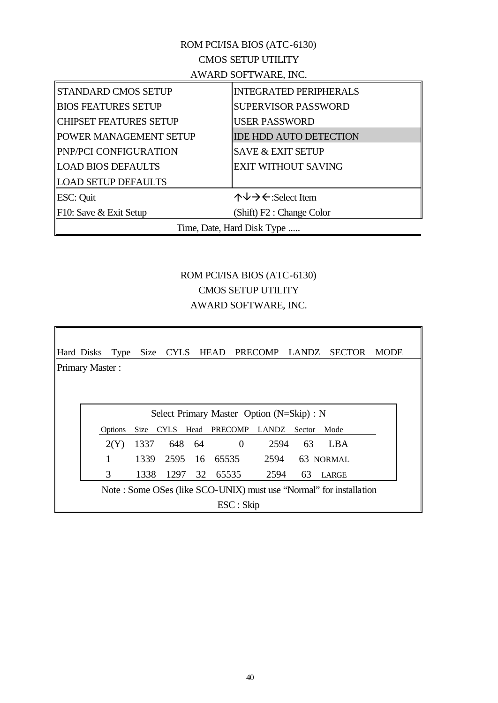#### ROM PCI/ISA BIOS (ATC-6130) CMOS SETUP UTILITY AWARD SOFTWARE, INC.

| AWARD SOI 1 WARD, INC.        |                                                           |  |
|-------------------------------|-----------------------------------------------------------|--|
| <b>STANDARD CMOS SETUP</b>    | <b>INTEGRATED PERIPHERALS</b>                             |  |
| <b>BIOS FEATURES SETUP</b>    | <b>SUPERVISOR PASSWORD</b>                                |  |
| <b>CHIPSET FEATURES SETUP</b> | <b>USER PASSWORD</b>                                      |  |
| <b>POWER MANAGEMENT SETUP</b> | <b>IDE HDD AUTO DETECTION</b>                             |  |
| PNP/PCI CONFIGURATION         | <b>SAVE &amp; EXIT SETUP</b>                              |  |
| <b>LOAD BIOS DEFAULTS</b>     | <b>EXIT WITHOUT SAVING</b>                                |  |
| <b>LOAD SETUP DEFAULTS</b>    |                                                           |  |
| <b>ESC:</b> Quit              | $\uparrow \downarrow \rightarrow \leftarrow$ :Select Item |  |
| F10: Save & Exit Setup        | (Shift) F2 : Change Color                                 |  |
| Time, Date, Hard Disk Type    |                                                           |  |

#### ROM PCI/ISA BIOS (ATC-6130) CMOS SETUP UTILITY AWARD SOFTWARE, INC.

|                                                                    | Hard Disks                                | Type           |      |      |        |                                |                           |            |    | Size CYLS HEAD PRECOMP LANDZ SECTOR | <b>MODE</b> |
|--------------------------------------------------------------------|-------------------------------------------|----------------|------|------|--------|--------------------------------|---------------------------|------------|----|-------------------------------------|-------------|
|                                                                    | <b>Primary Master:</b>                    |                |      |      |        |                                |                           |            |    |                                     |             |
|                                                                    |                                           |                |      |      |        |                                |                           |            |    |                                     |             |
|                                                                    |                                           |                |      |      |        |                                |                           |            |    |                                     |             |
|                                                                    | Select Primary Master Option (N=Skip) : N |                |      |      |        |                                |                           |            |    |                                     |             |
|                                                                    |                                           | <b>Options</b> | Size |      |        | CYLS Head PRECOMP LANDZ Sector |                           |            |    | Mode                                |             |
|                                                                    |                                           | 2(Y)           | 1337 |      | 648 64 |                                | $\overline{0}$            | 2594       | 63 | <b>LBA</b>                          |             |
|                                                                    |                                           | 1              | 1339 | 2595 |        | 16 65535 2594                  |                           |            |    | 63 NORMAL                           |             |
|                                                                    |                                           | 3              | 1338 | 1297 | 32     |                                |                           | 65535 2594 | 63 | LARGE                               |             |
| Note: Some OSes (like SCO-UNIX) must use "Normal" for installation |                                           |                |      |      |        |                                |                           |            |    |                                     |             |
|                                                                    |                                           |                |      |      |        |                                | $\text{ESC}: \text{skip}$ |            |    |                                     |             |

Г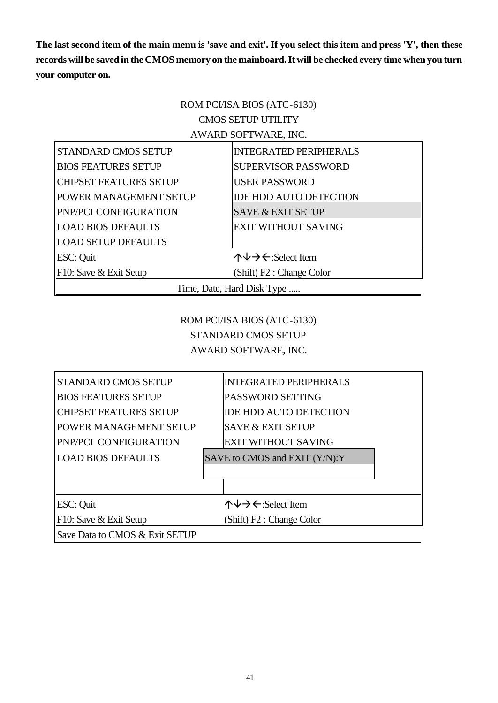**The last second item of the main menu is 'save and exit'. If you select this item and press 'Y', then these records will be saved in the CMOS memory on the mainboard. It will be checked every time when you turn your computer on.**

### ROM PCI/ISA BIOS (ATC-6130) CMOS SETUP UTILITY AWARD SOFTWARE, INC.

| <b>STANDARD CMOS SETUP</b>     | <b>INTEGRATED PERIPHERALS</b>                             |  |  |  |
|--------------------------------|-----------------------------------------------------------|--|--|--|
| <b>BIOS FEATURES SETUP</b>     | <b>SUPERVISOR PASSWORD</b>                                |  |  |  |
| <b>CHIPSET FEATURES SETUP</b>  | <b>USER PASSWORD</b>                                      |  |  |  |
| POWER MANAGEMENT SETUP         | <b>IDE HDD AUTO DETECTION</b>                             |  |  |  |
| PNP/PCI CONFIGURATION          | <b>SAVE &amp; EXIT SETUP</b>                              |  |  |  |
| <b>LOAD BIOS DEFAULTS</b>      | <b>EXIT WITHOUT SAVING</b>                                |  |  |  |
| <b>LOAD SETUP DEFAULTS</b>     |                                                           |  |  |  |
| <b>ESC:</b> Quit               | $\uparrow \downarrow \rightarrow \leftarrow$ :Select Item |  |  |  |
| $\vert$ F10: Save & Exit Setup | (Shift) F2 : Change Color                                 |  |  |  |
| Time, Date, Hard Disk Type     |                                                           |  |  |  |

### ROM PCI/ISA BIOS (ATC-6130) STANDARD CMOS SETUP AWARD SOFTWARE, INC.

| <b>STANDARD CMOS SETUP</b>     | <b>INTEGRATED PERIPHERALS</b>                             |  |  |
|--------------------------------|-----------------------------------------------------------|--|--|
| <b>BIOS FEATURES SETUP</b>     | PASSWORD SETTING                                          |  |  |
| <b>CHIPSET FEATURES SETUP</b>  | <b>IDE HDD AUTO DETECTION</b>                             |  |  |
| POWER MANAGEMENT SETUP         | <b>SAVE &amp; EXIT SETUP</b>                              |  |  |
| PNP/PCI CONFIGURATION          | <b>EXIT WITHOUT SAVING</b>                                |  |  |
| <b>LOAD BIOS DEFAULTS</b>      | SAVE to CMOS and EXIT (Y/N):Y                             |  |  |
|                                |                                                           |  |  |
|                                |                                                           |  |  |
| ESC: Quit                      | $\uparrow \downarrow \rightarrow \leftarrow$ :Select Item |  |  |
| F10: Save & Exit Setup         | (Shift) F2 : Change Color                                 |  |  |
| Save Data to CMOS & Exit SETUP |                                                           |  |  |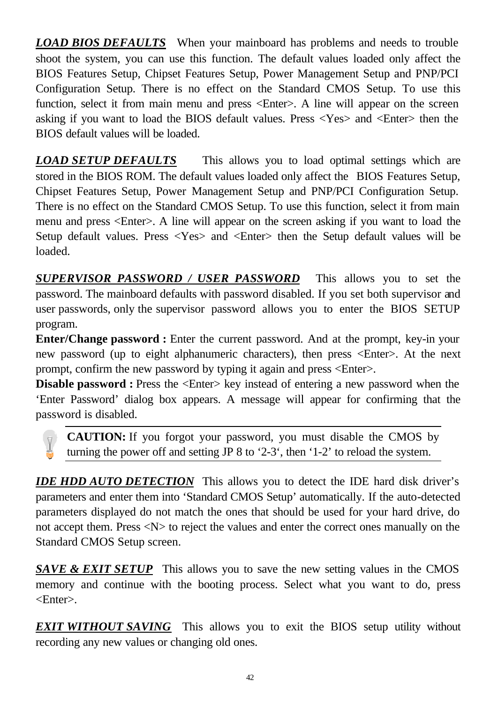*LOAD BIOS DEFAULTS* When your mainboard has problems and needs to trouble shoot the system, you can use this function. The default values loaded only affect the BIOS Features Setup, Chipset Features Setup, Power Management Setup and PNP/PCI Configuration Setup. There is no effect on the Standard CMOS Setup. To use this function, select it from main menu and press  $\leq$  Enter $\geq$ . A line will appear on the screen asking if you want to load the BIOS default values. Press <Yes> and <Enter> then the BIOS default values will be loaded.

*LOAD SETUP DEFAULTS* This allows you to load optimal settings which are stored in the BIOS ROM. The default values loaded only affect the BIOS Features Setup, Chipset Features Setup, Power Management Setup and PNP/PCI Configuration Setup. There is no effect on the Standard CMOS Setup. To use this function, select it from main menu and press <Enter>. A line will appear on the screen asking if you want to load the Setup default values. Press <Yes> and <Enter> then the Setup default values will be loaded.

*SUPERVISOR PASSWORD / USER PASSWORD* This allows you to set the password. The mainboard defaults with password disabled. If you set both supervisor and user passwords, only the supervisor password allows you to enter the BIOS SETUP program.

**Enter/Change password :** Enter the current password. And at the prompt, key-in your new password (up to eight alphanumeric characters), then press <Enter>. At the next prompt, confirm the new password by typing it again and press <Enter>.

**Disable password :** Press the  $\leq$  Enter $\geq$  key instead of entering a new password when the 'Enter Password' dialog box appears. A message will appear for confirming that the password is disabled.

**CAUTION:** If you forgot your password, you must disable the CMOS by turning the power off and setting JP 8 to '2-3', then '1-2' to reload the system.

 $\nabla$ 

*IDE HDD AUTO DETECTION* This allows you to detect the IDE hard disk driver's parameters and enter them into 'Standard CMOS Setup' automatically. If the auto-detected parameters displayed do not match the ones that should be used for your hard drive, do not accept them. Press  $\langle N \rangle$  to reject the values and enter the correct ones manually on the Standard CMOS Setup screen.

*SAVE & EXIT SETUP* This allows you to save the new setting values in the CMOS memory and continue with the booting process. Select what you want to do, press <Enter>.

*EXIT WITHOUT SAVING* This allows you to exit the BIOS setup utility without recording any new values or changing old ones.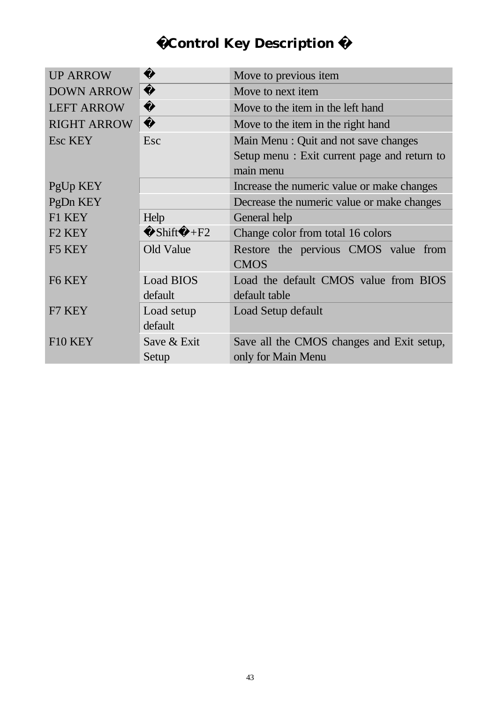### **Control Key Description**

| <b>UP ARROW</b>     |                  | Move to previous item                       |  |  |  |
|---------------------|------------------|---------------------------------------------|--|--|--|
| <b>DOWN ARROW</b>   |                  | Move to next item                           |  |  |  |
| <b>LEFT ARROW</b>   |                  | Move to the item in the left hand           |  |  |  |
| <b>RIGHT ARROW</b>  |                  | Move to the item in the right hand          |  |  |  |
| Esc KEY             | Esc              | Main Menu : Quit and not save changes       |  |  |  |
|                     |                  | Setup menu: Exit current page and return to |  |  |  |
|                     |                  | main menu                                   |  |  |  |
| PgUp KEY            |                  | Increase the numeric value or make changes  |  |  |  |
| PgDn KEY            |                  | Decrease the numeric value or make changes  |  |  |  |
| F1 KEY              | Help             | General help                                |  |  |  |
| F <sub>2</sub> KEY  | Shift $+F2$      | Change color from total 16 colors           |  |  |  |
| F5 KEY              | Old Value        | Restore the pervious CMOS value from        |  |  |  |
|                     |                  | <b>CMOS</b>                                 |  |  |  |
| F6 KEY              | <b>Load BIOS</b> | Load the default CMOS value from BIOS       |  |  |  |
|                     | default          | default table                               |  |  |  |
| F7 KEY              | Load setup       | Load Setup default                          |  |  |  |
|                     | default          |                                             |  |  |  |
| F <sub>10</sub> KEY | Save & Exit      | Save all the CMOS changes and Exit setup,   |  |  |  |
|                     | Setup            | only for Main Menu                          |  |  |  |